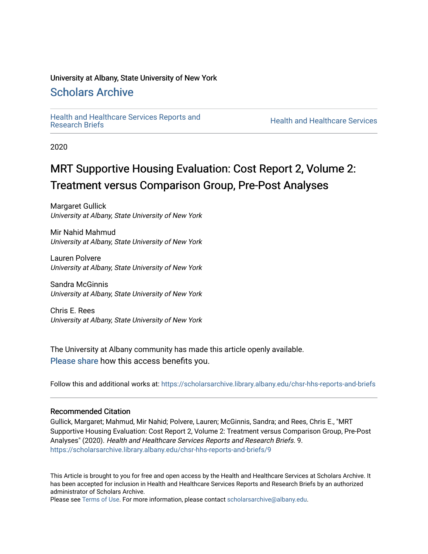#### University at Albany, State University of New York

### [Scholars Archive](https://scholarsarchive.library.albany.edu/)

[Health and Healthcare Services Reports and](https://scholarsarchive.library.albany.edu/chsr-hhs-reports-and-briefs) 

**Health and Healthcare Services** 

2020

### MRT Supportive Housing Evaluation: Cost Report 2, Volume 2: Treatment versus Comparison Group, Pre-Post Analyses

Margaret Gullick University at Albany, State University of New York

Mir Nahid Mahmud University at Albany, State University of New York

Lauren Polvere University at Albany, State University of New York

Sandra McGinnis University at Albany, State University of New York

Chris E. Rees University at Albany, State University of New York

The University at Albany community has made this article openly available. [Please share](https://albany.libwizard.com/f/open-access-feedback) how this access benefits you.

Follow this and additional works at: [https://scholarsarchive.library.albany.edu/chsr-hhs-reports-and-briefs](https://scholarsarchive.library.albany.edu/chsr-hhs-reports-and-briefs?utm_source=scholarsarchive.library.albany.edu%2Fchsr-hhs-reports-and-briefs%2F9&utm_medium=PDF&utm_campaign=PDFCoverPages) 

#### Recommended Citation

Gullick, Margaret; Mahmud, Mir Nahid; Polvere, Lauren; McGinnis, Sandra; and Rees, Chris E., "MRT Supportive Housing Evaluation: Cost Report 2, Volume 2: Treatment versus Comparison Group, Pre-Post Analyses" (2020). Health and Healthcare Services Reports and Research Briefs. 9. [https://scholarsarchive.library.albany.edu/chsr-hhs-reports-and-briefs/9](https://scholarsarchive.library.albany.edu/chsr-hhs-reports-and-briefs/9?utm_source=scholarsarchive.library.albany.edu%2Fchsr-hhs-reports-and-briefs%2F9&utm_medium=PDF&utm_campaign=PDFCoverPages)

This Article is brought to you for free and open access by the Health and Healthcare Services at Scholars Archive. It has been accepted for inclusion in Health and Healthcare Services Reports and Research Briefs by an authorized administrator of Scholars Archive.

Please see [Terms of Use.](https://scholarsarchive.library.albany.edu/terms_of_use.html) For more information, please contact [scholarsarchive@albany.edu](mailto:scholarsarchive@albany.edu).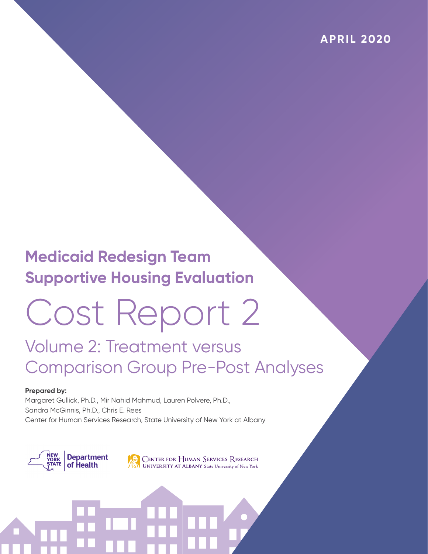### **Medicaid Redesign Team Supportive Housing Evaluation**

# Cost Report 2

### Volume 2: Treatment versus Comparison Group Pre-Post Analyses

#### **Prepared by:**

Margaret Gullick, Ph.D., Mir Nahid Mahmud, Lauren Polvere, Ph.D., Sandra McGinnis, Ph.D., Chris E. Rees Center for Human Services Research, State University of New York at Albany

**Department** of Health

**CENTER FOR HUMAN SERVICES RESEARCH** UNIVERSITY AT ALBANY State University of New York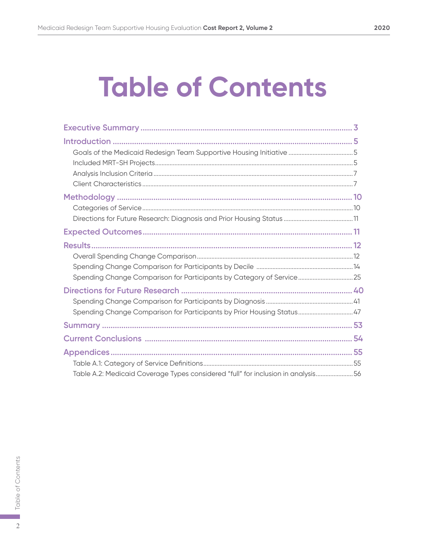## **Table of Contents**

| Spending Change Comparison for Participants by Category of Service25             |  |
|----------------------------------------------------------------------------------|--|
| Spending Change Comparison for Participants by Prior Housing Status47            |  |
|                                                                                  |  |
|                                                                                  |  |
| Table A.2: Medicaid Coverage Types considered "full" for inclusion in analysis56 |  |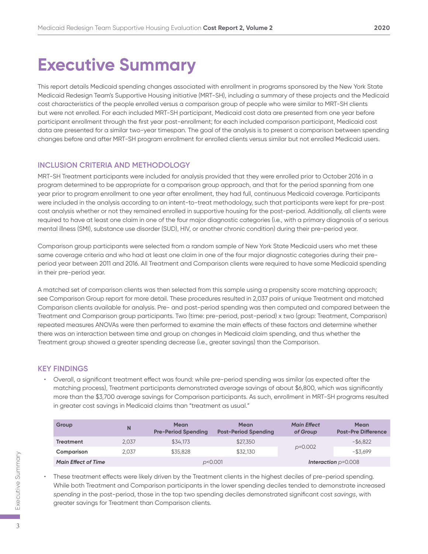### **Executive Summary**

This report details Medicaid spending changes associated with enrollment in programs sponsored by the New York State Medicaid Redesign Team's Supportive Housing initiative (MRT-SH), including a summary of these projects and the Medicaid cost characteristics of the people enrolled versus a comparison group of people who were similar to MRT-SH clients but were not enrolled. For each included MRT-SH participant, Medicaid cost data are presented from one year before participant enrollment through the first year post-enrollment; for each included comparison participant, Medicaid cost data are presented for a similar two-year timespan. The goal of the analysis is to present a comparison between spending changes before and after MRT-SH program enrollment for enrolled clients versus similar but not enrolled Medicaid users.

#### **INCLUSION CRITERIA AND METHODOLOGY**

MRT-SH Treatment participants were included for analysis provided that they were enrolled prior to October 2016 in a program determined to be appropriate for a comparison group approach, and that for the period spanning from one year prior to program enrollment to one year after enrollment, they had full, continuous Medicaid coverage. Participants were included in the analysis according to an intent-to-treat methodology, such that participants were kept for pre-post cost analysis whether or not they remained enrolled in supportive housing for the post-period. Additionally, all clients were required to have at least one claim in one of the four major diagnostic categories (i.e., with a primary diagnosis of a serious mental illness (SMI), substance use disorder (SUD), HIV, or another chronic condition) during their pre-period year.

Comparison group participants were selected from a random sample of New York State Medicaid users who met these same coverage criteria and who had at least one claim in one of the four major diagnostic categories during their preperiod year between 2011 and 2016. All Treatment and Comparison clients were required to have some Medicaid spending in their pre-period year.

A matched set of comparison clients was then selected from this sample using a propensity score matching approach; see Comparison Group report for more detail. These procedures resulted in 2,037 pairs of unique Treatment and matched Comparison clients available for analysis. Pre- and post-period spending was then computed and compared between the Treatment and Comparison group participants. Two (time: pre-period, post-period) x two (group: Treatment, Comparison) repeated measures ANOVAs were then performed to examine the main effects of these factors and determine whether there was an interaction between time and group on changes in Medicaid claim spending, and thus whether the Treatment group showed a greater spending decrease (i.e., greater savings) than the Comparison.

#### **KEY FINDINGS**

• Overall, a significant treatment effect was found: while pre-period spending was similar (as expected after the matching process), Treatment participants demonstrated average savings of about \$6,800, which was significantly more than the \$3,700 average savings for Comparison participants. As such, enrollment in MRT-SH programs resulted in greater cost savings in Medicaid claims than "treatment as usual."

| Group                      | N     | Mean<br><b>Pre-Period Spending</b> | <b>Mean</b><br><b>Post-Period Spending</b> | <b>Main Effect</b><br>of Group | <b>Mean</b><br><b>Post-Pre Difference</b> |
|----------------------------|-------|------------------------------------|--------------------------------------------|--------------------------------|-------------------------------------------|
| <b>Treatment</b>           | 2.037 | \$34.173                           | \$27,350                                   |                                | $-$ \$6.822                               |
| Comparison                 | 2.037 | \$35,828                           | \$32.130                                   | $p=0.002$                      | $-$ \$3.699                               |
| <b>Main Effect of Time</b> |       |                                    | p<0.001                                    |                                | <b>Interaction</b> $p=0.008$              |

• These treatment effects were likely driven by the Treatment clients in the highest deciles of pre-period spending. While both Treatment and Comparison participants in the lower spending deciles tended to demonstrate increased *spending* in the post-period, those in the top two spending deciles demonstrated significant cost *savings*, with greater savings for Treatment than Comparison clients.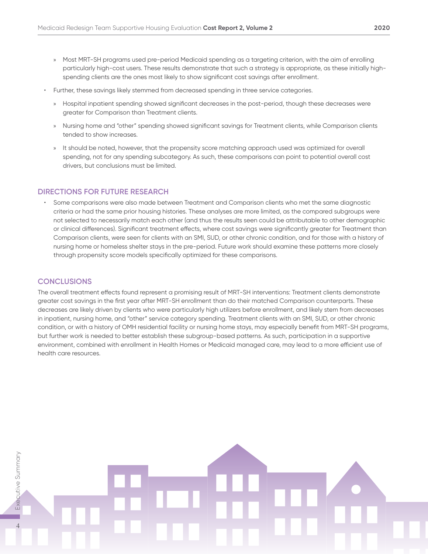- » Most MRT-SH programs used pre-period Medicaid spending as a targeting criterion, with the aim of enrolling particularly high-cost users. These results demonstrate that such a strategy is appropriate, as these initially highspending clients are the ones most likely to show significant cost savings after enrollment.
- Further, these savings likely stemmed from decreased spending in three service categories.
	- » Hospital inpatient spending showed significant decreases in the post-period, though these decreases were greater for Comparison than Treatment clients.
	- » Nursing home and "other" spending showed significant savings for Treatment clients, while Comparison clients tended to show increases.
	- » It should be noted, however, that the propensity score matching approach used was optimized for overall spending, not for any spending subcategory. As such, these comparisons can point to potential overall cost drivers, but conclusions must be limited.

#### **DIRECTIONS FOR FUTURE RESEARCH**

• Some comparisons were also made between Treatment and Comparison clients who met the same diagnostic criteria or had the same prior housing histories. These analyses are more limited, as the compared subgroups were not selected to necessarily match each other (and thus the results seen could be attributable to other demographic or clinical differences). Significant treatment effects, where cost savings were significantly greater for Treatment than Comparison clients, were seen for clients with an SMI, SUD, or other chronic condition, and for those with a history of nursing home or homeless shelter stays in the pre-period. Future work should examine these patterns more closely through propensity score models specifically optimized for these comparisons.

#### **CONCLUSIONS**

The overall treatment effects found represent a promising result of MRT-SH interventions: Treatment clients demonstrate greater cost savings in the first year after MRT-SH enrollment than do their matched Comparison counterparts. These decreases are likely driven by clients who were particularly high utilizers before enrollment, and likely stem from decreases in inpatient, nursing home, and "other" service category spending. Treatment clients with an SMI, SUD, or other chronic condition, or with a history of OMH residential facility or nursing home stays, may especially benefit from MRT-SH programs, but further work is needed to better establish these subgroup-based patterns. As such, participation in a supportive environment, combined with enrollment in Health Homes or Medicaid managed care, may lead to a more efficient use of health care resources.

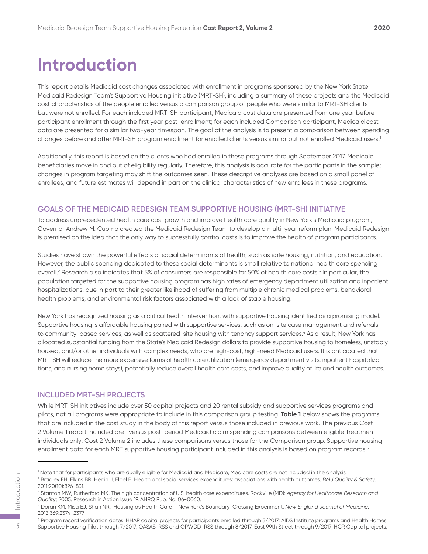### **Introduction**

This report details Medicaid cost changes associated with enrollment in programs sponsored by the New York State Medicaid Redesign Team's Supportive Housing initiative (MRT-SH), including a summary of these projects and the Medicaid cost characteristics of the people enrolled versus a comparison group of people who were similar to MRT-SH clients but were not enrolled. For each included MRT-SH participant, Medicaid cost data are presented from one year before participant enrollment through the first year post-enrollment; for each included Comparison participant, Medicaid cost data are presented for a similar two-year timespan. The goal of the analysis is to present a comparison between spending changes before and after MRT-SH program enrollment for enrolled clients versus similar but not enrolled Medicaid users.1

Additionally, this report is based on the clients who had enrolled in these programs through September 2017. Medicaid beneficiaries move in and out of eligibility regularly. Therefore, this analysis is accurate for the participants in the sample; changes in program targeting may shift the outcomes seen. These descriptive analyses are based on a small panel of enrollees, and future estimates will depend in part on the clinical characteristics of new enrollees in these programs.

#### **GOALS OF THE MEDICAID REDESIGN TEAM SUPPORTIVE HOUSING (MRT-SH) INITIATIVE**

To address unprecedented health care cost growth and improve health care quality in New York's Medicaid program, Governor Andrew M. Cuomo created the Medicaid Redesign Team to develop a multi-year reform plan. Medicaid Redesign is premised on the idea that the only way to successfully control costs is to improve the health of program participants.

Studies have shown the powerful effects of social determinants of health, such as safe housing, nutrition, and education. However, the public spending dedicated to these social determinants is small relative to national health care spending overall.2 Research also indicates that 5% of consumers are responsible for 50% of health care costs.3 In particular, the population targeted for the supportive housing program has high rates of emergency department utilization and inpatient hospitalizations, due in part to their greater likelihood of suffering from multiple chronic medical problems, behavioral health problems, and environmental risk factors associated with a lack of stable housing.

New York has recognized housing as a critical health intervention, with supportive housing identified as a promising model. Supportive housing is affordable housing paired with supportive services, such as on-site case management and referrals to community-based services, as well as scattered-site housing with tenancy support services.<sup>4</sup> As a result, New York has allocated substantial funding from the State's Medicaid Redesign dollars to provide supportive housing to homeless, unstably housed, and/or other individuals with complex needs, who are high-cost, high-need Medicaid users. It is anticipated that MRT-SH will reduce the more expensive forms of health care utilization (emergency department visits, inpatient hospitalizations, and nursing home stays), potentially reduce overall health care costs, and improve quality of life and health outcomes.

#### **INCLUDED MRT-SH PROJECTS**

While MRT-SH initiatives include over 50 capital projects and 20 rental subsidy and supportive services programs and pilots, not all programs were appropriate to include in this comparison group testing. **Table 1** below shows the programs that are included in the cost study in the body of this report versus those included in previous work. The previous Cost 2 Volume 1 report included pre- versus post-period Medicaid claim spending comparisons between eligible Treatment individuals only; Cost 2 Volume 2 includes these comparisons versus those for the Comparison group. Supportive housing enrollment data for each MRT supportive housing participant included in this analysis is based on program records.5

<sup>1</sup> Note that for participants who are dually eligible for Medicaid and Medicare, Medicare costs are not included in the analysis.

Paralley EH, Elkins BR, Herrin J, Elbel B. Health and social services expenditures: associations with health outcomes. BMJ Quality & Safety.<br>
2011;20(10):826-831.<br>
3 Stanton MW, Rutherford MK. The high concentration of U.S 2011;20(10):826-831.

<sup>3</sup> Stanton MW, Rutherford MK. The high concentration of U.S. health care expenditures. Rockville (MD): *Agency for Healthcare Research and Quality*; 2005. Research in Action Issue 19. AHRQ Pub. No. 06-0060.

<sup>4</sup> Doran KM, Misa EJ, Shah NR. Housing as Health Care – New York's Boundary-Crossing Experiment. *New England Journal of Medicine*. 2013;369:2374-2377.

 $^5$  Program record verification dates: HHAP capital projects for participants enrolled through 5/2017; AIDS Institute programs and Health Homes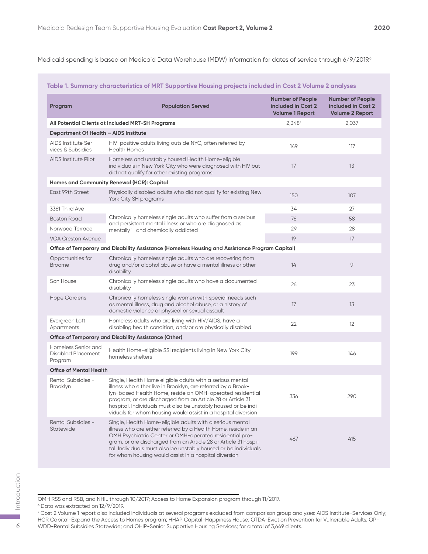Medicaid spending is based on Medicaid Data Warehouse (MDW) information for dates of service through 6/9/2019.6

#### **Table 1. Summary characteristics of MRT Supportive Housing projects included in Cost 2 Volume 2 analyses**

| Program                                                     | <b>Population Served</b>                                                                                                                                                                                                                                                                                                                                                                  | <b>Number of People</b><br>included in Cost 2<br><b>Volume 1 Report</b> | <b>Number of People</b><br>included in Cost 2<br><b>Volume 2 Report</b> |
|-------------------------------------------------------------|-------------------------------------------------------------------------------------------------------------------------------------------------------------------------------------------------------------------------------------------------------------------------------------------------------------------------------------------------------------------------------------------|-------------------------------------------------------------------------|-------------------------------------------------------------------------|
|                                                             | All Potential Clients at Included MRT-SH Programs                                                                                                                                                                                                                                                                                                                                         | 2,3487                                                                  | 2,037                                                                   |
| Department Of Health - AIDS Institute                       |                                                                                                                                                                                                                                                                                                                                                                                           |                                                                         |                                                                         |
| AIDS Institute Ser-<br>vices & Subsidies                    | HIV-positive adults living outside NYC, often referred by<br><b>Health Homes</b>                                                                                                                                                                                                                                                                                                          | 149                                                                     | 117                                                                     |
| <b>AIDS Institute Pilot</b>                                 | Homeless and unstably housed Health Home-eligible<br>individuals in New York City who were diagnosed with HIV but<br>did not qualify for other existing programs                                                                                                                                                                                                                          | 17                                                                      | 13                                                                      |
|                                                             | Homes and Community Renewal (HCR): Capital                                                                                                                                                                                                                                                                                                                                                |                                                                         |                                                                         |
| East 99th Street                                            | Physically disabled adults who did not qualify for existing New<br>York City SH programs                                                                                                                                                                                                                                                                                                  | 150                                                                     | 107                                                                     |
| 3361 Third Ave                                              |                                                                                                                                                                                                                                                                                                                                                                                           | 34                                                                      | 27                                                                      |
| <b>Boston Road</b>                                          | Chronically homeless single adults who suffer from a serious                                                                                                                                                                                                                                                                                                                              | 76                                                                      | 58                                                                      |
| Norwood Terrace                                             | and persistent mental illness or who are diagnosed as<br>mentally ill and chemically addicted                                                                                                                                                                                                                                                                                             | 29                                                                      | 28                                                                      |
| <b>VOA Creston Avenue</b>                                   |                                                                                                                                                                                                                                                                                                                                                                                           | 19                                                                      | 17                                                                      |
|                                                             | Office of Temporary and Disability Assistance (Homeless Housing and Assistance Program Capital)                                                                                                                                                                                                                                                                                           |                                                                         |                                                                         |
| Opportunities for<br><b>Broome</b>                          | Chronically homeless single adults who are recovering from<br>drug and/or alcohol abuse or have a mental illness or other<br>disability                                                                                                                                                                                                                                                   | 14                                                                      | 9                                                                       |
| Son House                                                   | Chronically homeless single adults who have a documented<br>disability                                                                                                                                                                                                                                                                                                                    | 26                                                                      | 23                                                                      |
| <b>Hope Gardens</b>                                         | Chronically homeless single women with special needs such<br>as mental illness, drug and alcohol abuse, or a history of<br>domestic violence or physical or sexual assault                                                                                                                                                                                                                | 17                                                                      | 13                                                                      |
| Evergreen Loft<br>Apartments                                | Homeless adults who are living with HIV/AIDS, have a<br>disabling health condition, and/or are physically disabled                                                                                                                                                                                                                                                                        | 22                                                                      | 12                                                                      |
|                                                             | Office of Temporary and Disability Assistance (Other)                                                                                                                                                                                                                                                                                                                                     |                                                                         |                                                                         |
| Homeless Senior and<br><b>Disabled Placement</b><br>Program | Health Home-eligible SSI recipients living in New York City<br>homeless shelters                                                                                                                                                                                                                                                                                                          | 199                                                                     | 146                                                                     |
| <b>Office of Mental Health</b>                              |                                                                                                                                                                                                                                                                                                                                                                                           |                                                                         |                                                                         |
| Rental Subsidies -<br>Brooklyn                              | Single, Health Home eligible adults with a serious mental<br>illness who either live in Brooklyn, are referred by a Brook-<br>lyn-based Health Home, reside an OMH-operated residential<br>program, or are discharged from an Article 28 or Article 31<br>hospital. Individuals must also be unstably housed or be indi-<br>viduals for whom housing would assist in a hospital diversion | 336                                                                     | 290                                                                     |
| <b>Rental Subsidies -</b><br><b>Statewide</b>               | Single, Health Home-eligible adults with a serious mental<br>illness who are either referred by a Health Home, reside in an<br>OMH Psychiatric Center or OMH-operated residential pro-<br>gram, or are discharged from an Article 28 or Article 31 hospi-<br>tal. Individuals must also be unstably housed or be individuals<br>for whom housing would assist in a hospital diversion     | 467                                                                     | 415                                                                     |

OMH RSS and RSB, and NHIL through 10/2017; Access to Home Expansion program through 11/2017.

<sup>6</sup> Data was extracted on 12/9/2019.

<sup>7</sup> Cost 2 Volume 1 report also included individuals at several programs excluded from comparison group analyses: AIDS Institute-Services Only; HCR Capital-Expand the Access to Homes program; HHAP Capital-Happiness House; OTDA-Eviction Prevention for Vulnerable Adults; OP-6 WDD-Rental Subsidies Statewide; and OHIP-Senior Supportive Housing Services; for a total of 3,649 clients.<br>
WDD-Rental Subsidies Statewide; and OHIP-Senior Supportive Housing Services; for a total of 3,649 clients.<br>
WDD-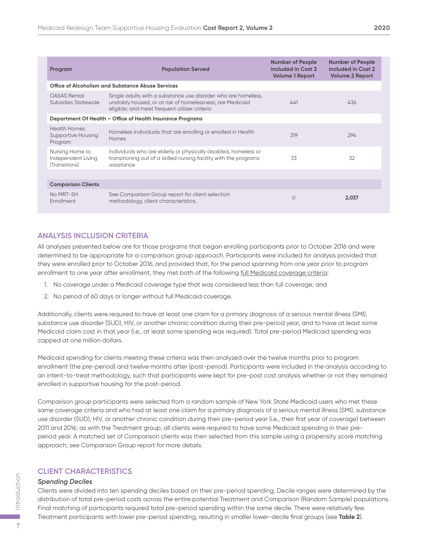| Program                                                     | <b>Population Served</b>                                                                                                                                                    | <b>Number of People</b><br>included in Cost 2<br><b>Volume 1 Report</b> | <b>Number of People</b><br>included in Cost 2<br><b>Volume 2 Report</b> |
|-------------------------------------------------------------|-----------------------------------------------------------------------------------------------------------------------------------------------------------------------------|-------------------------------------------------------------------------|-------------------------------------------------------------------------|
|                                                             | Office of Alcoholism and Substance Abuse Services                                                                                                                           |                                                                         |                                                                         |
| <b>OASAS Rental</b><br>Subsidies Statewide                  | Single adults with a substance use disorder who are homeless,<br>unstably housed, or at risk of homelessness; are Medicaid<br>eligible; and meet frequent utilizer criteria | 441                                                                     | 436                                                                     |
|                                                             | Department Of Health - Office of Health Insurance Programs                                                                                                                  |                                                                         |                                                                         |
| <b>Health Homes</b><br><b>Supportive Housing</b><br>Program | Homeless individuals that are enrolling or enrolled in Health<br><b>Homes</b>                                                                                               | 319                                                                     | 294                                                                     |
| Nursing Home to<br>Independent Living<br>(Transitions)      | Individuals who are elderly or physically disabled, homeless or<br>transitioning out of a skilled nursing facility with the programs<br>assistance                          | 33                                                                      | 32                                                                      |
|                                                             |                                                                                                                                                                             |                                                                         |                                                                         |
| <b>Comparison Clients</b>                                   |                                                                                                                                                                             |                                                                         |                                                                         |
| No MRT-SH<br><b>Enrollment</b>                              | See Comparison Group report for client selection<br>methodology, client characteristics.                                                                                    | $\Omega$                                                                | 2,037                                                                   |

#### **ANALYSIS INCLUSION CRITERIA**

All analyses presented below are for those programs that began enrolling participants prior to October 2016 and were determined to be appropriate for a comparison group approach. Participants were included for analysis provided that they were enrolled prior to October 2016, and provided that, for the period spanning from one year prior to program enrollment to one year after enrollment, they met both of the following full Medicaid coverage criteria:

- 1. No coverage under a Medicaid coverage type that was considered less than full coverage; and
- 2. No period of 60 days or longer without full Medicaid coverage.

Additionally, clients were required to have at least one claim for a primary diagnosis of a serious mental illness (SMI), substance use disorder (SUD), HIV, or another chronic condition during their pre-period year, and to have at least some Medicaid claim cost in that year (i.e., at least some spending was required). Total pre-period Medicaid spending was capped at one million dollars.

Medicaid spending for clients meeting these criteria was then analyzed over the twelve months prior to program enrollment (the pre-period) and twelve months after (post-period). Participants were included in the analysis according to an intent-to-treat methodology, such that participants were kept for pre-post cost analysis whether or not they remained enrolled in supportive housing for the post-period.

Comparison group participants were selected from a random sample of New York State Medicaid users who met these same coverage criteria and who had at least one claim for a primary diagnosis of a serious mental illness (SMI), substance use disorder (SUD), HIV, or another chronic condition during their pre-period year (i.e., their first year of coverage) between 2011 and 2016; as with the Treatment group, all clients were required to have some Medicaid spending in their preperiod year. A matched set of Comparison clients was then selected from this sample using a propensity score matching approach; see Comparison Group report for more details.

#### **CLIENT CHARACTERISTICS**

#### *Spending Deciles*

Clients were divided into ten spending deciles based on their pre-period spending. Decile ranges were determined by the distribution of total pre-period costs across the entire potential Treatment and Comparison (Random Sample) populations. Final matching of participants required total pre-period spending within the same decile. There were relatively few Treatment participants with lower pre-period spending, resulting in smaller lower-decile final groups (see **Table 2**).

 $\overline{7}$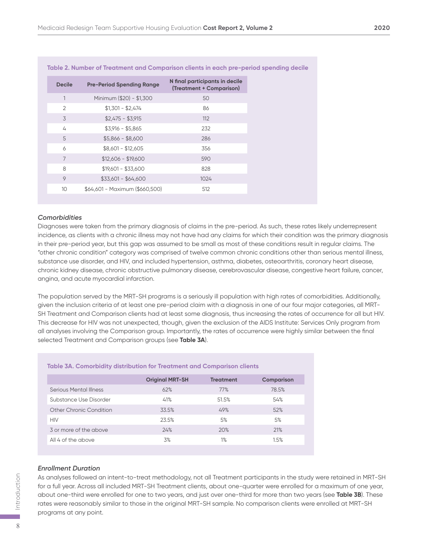|                 | Table 2. Number of Treatment and Comparison clients in each pre-period spending a |                                                            |
|-----------------|-----------------------------------------------------------------------------------|------------------------------------------------------------|
| <b>Decile</b>   | <b>Pre-Period Spending Range</b>                                                  | N final participants in decile<br>(Treatment + Comparison) |
|                 | Minimum (\$20) - \$1,300                                                          | 50                                                         |
| $\overline{2}$  | $$1,301 - $2,474$                                                                 | 86                                                         |
| 3               | $$2,475 - $3,915$                                                                 | 112                                                        |
| 4               | $$3,916 - $5,865$                                                                 | 232                                                        |
| 5               | $$5,866 - $8,600$                                                                 | 286                                                        |
| 6               | $$8,601 - $12,605$                                                                | 356                                                        |
| $\overline{7}$  | $$12,606 - $19,600$                                                               | 590                                                        |
| 8               | $$19,601 - $33,600$                                                               | 828                                                        |
| 9               | $$33,601 - $64,600$                                                               | 1024                                                       |
| 10 <sup>°</sup> | \$64,601 - Maximum (\$660,500)                                                    | 512                                                        |
|                 |                                                                                   |                                                            |

#### **Table 2. Number of Treatment and Comparison clients in each pre-period spending decile**

#### *Comorbidities*

Diagnoses were taken from the primary diagnosis of claims in the pre-period. As such, these rates likely underrepresent incidence, as clients with a chronic illness may not have had any claims for which their condition was the primary diagnosis in their pre-period year, but this gap was assumed to be small as most of these conditions result in regular claims. The "other chronic condition" category was comprised of twelve common chronic conditions other than serious mental illness, substance use disorder, and HIV, and included hypertension, asthma, diabetes, osteoarthritis, coronary heart disease, chronic kidney disease, chronic obstructive pulmonary disease, cerebrovascular disease, congestive heart failure, cancer, angina, and acute myocardial infarction.

The population served by the MRT-SH programs is a seriously ill population with high rates of comorbidities. Additionally, given the inclusion criteria of at least one pre-period claim with a diagnosis in one of our four major categories, all MRT-SH Treatment and Comparison clients had at least some diagnosis, thus increasing the rates of occurrence for all but HIV. This decrease for HIV was not unexpected, though, given the exclusion of the AIDS Institute: Services Only program from all analyses involving the Comparison group. Importantly, the rates of occurrence were highly similar between the final selected Treatment and Comparison groups (see **Table 3A**).

| <b>TUDIC ON: COMPUTERLY GRAMMATION NUMERICAL GRAMMATION COMPUTER</b> |                  |            |  |  |
|----------------------------------------------------------------------|------------------|------------|--|--|
| <b>Original MRT-SH</b>                                               | <b>Treatment</b> | Comparison |  |  |
| 62%                                                                  | 77%              | 78.5%      |  |  |
| 41%                                                                  | 51.5%            | 54%        |  |  |
| 33.5%                                                                | 49%              | 52%        |  |  |
| 23.5%                                                                | 5%               | 5%         |  |  |
| 24%                                                                  | 20%              | 21%        |  |  |
| 3%                                                                   | 1%               | 1.5%       |  |  |
|                                                                      |                  |            |  |  |

#### **Table 3A. Comorbidity distribution for Treatment and Comparison clients**

#### *Enrollment Duration*

As analyses followed an intent-to-treat methodology, not all Treatment participants in the study were retained in MRT-SH for a full year. Across all included MRT-SH Treatment clients, about one-quarter were enrolled for a maximum of one year, about one-third were enrolled for one to two years, and just over one-third for more than two years (see **Table 3B**). These rates were reasonably similar to those in the original MRT-SH sample. No comparison clients were enrolled at MRT-SH programs at any point.

8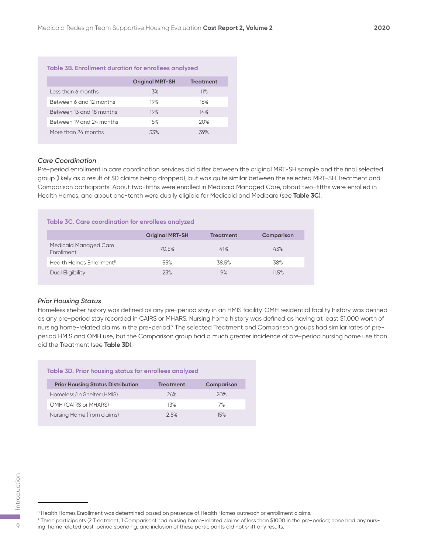| <b>Table 3B. Enrollment duration for enrollees analyzed</b> |                        |                  |  |  |  |
|-------------------------------------------------------------|------------------------|------------------|--|--|--|
|                                                             | <b>Original MRT-SH</b> | <b>Treatment</b> |  |  |  |
| Less than 6 months                                          | 13%                    | 11%              |  |  |  |
| Between 6 and 12 months                                     | 19%                    | 16%              |  |  |  |
| Between 13 and 18 months                                    | 19%                    | 14%              |  |  |  |
| Between 19 and 24 months                                    | 15%                    | 20%              |  |  |  |
| More than 24 months                                         | 33%                    | 39%              |  |  |  |

#### *Care Coordination*

Pre-period enrollment in care coordination services did differ between the original MRT-SH sample and the final selected group (likely as a result of \$0 claims being dropped), but was quite similar between the selected MRT-SH Treatment and Comparison participants. About two-fifths were enrolled in Medicaid Managed Care, about two-fifths were enrolled in Health Homes, and about one-tenth were dually eligible for Medicaid and Medicare (see **Table 3C**).

| Table 3C. Care coordination for enrollees analyzed |                        |                  |                   |  |  |
|----------------------------------------------------|------------------------|------------------|-------------------|--|--|
|                                                    | <b>Original MRT-SH</b> | <b>Treatment</b> | <b>Comparison</b> |  |  |
| <b>Medicaid Managed Care</b><br>Enrollment         | 70.5%                  | 41%              | 43%               |  |  |
| Health Homes Enrollment <sup>8</sup>               | 55%                    | 38.5%            | 38%               |  |  |
| Dual Eligibility                                   | 23%                    | 9%               | 11.5%             |  |  |

#### *Prior Housing Status*

Homeless shelter history was defined as any pre-period stay in an HMIS facility. OMH residential facility history was defined as any pre-period stay recorded in CAIRS or MHARS. Nursing home history was defined as having at least \$1,000 worth of nursing home-related claims in the pre-period.<sup>9</sup> The selected Treatment and Comparison groups had similar rates of preperiod HMIS and OMH use, but the Comparison group had a much greater incidence of pre-period nursing home use than did the Treatment (see **Table 3D**).

| Table 3D. Prior housing status for enrollees analyzed |                  |                   |  |  |  |
|-------------------------------------------------------|------------------|-------------------|--|--|--|
| <b>Prior Housing Status Distribution</b>              | <b>Treatment</b> | <b>Comparison</b> |  |  |  |
| Homeless/In Shelter (HMIS)                            | 26%              | 20%               |  |  |  |
| OMH (CAIRS or MHARS)                                  | 1.3%             | 7%                |  |  |  |
| Nursing Home (from claims)                            | 2.5%             | 15%               |  |  |  |

9 Three participants (2 Treatment, 1 Comparison) had nursing home-related claims of less than \$1000 in the pre-period; none had any nurs-9 include the Homes Enrollment was determined based on presence of Health Homes outreach or enrollm<br>
• Health Homes Enrollment was determined based on presence of Health Homes outreach or enrollm<br>
• Three participants (2 T

 $^8$  Health Homes Enrollment was determined based on presence of Health Homes outreach or enrollment claims.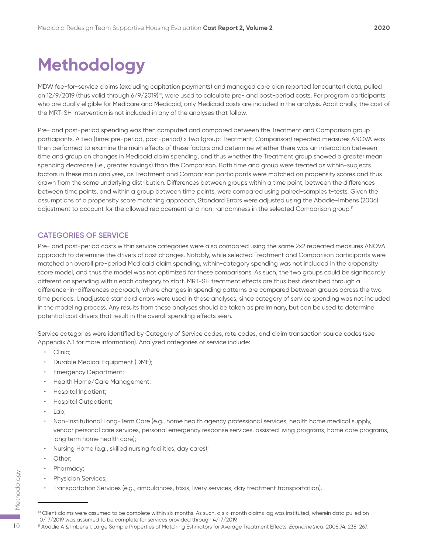### **Methodology**

MDW fee-for-service claims (excluding capitation payments) and managed care plan reported (encounter) data, pulled on 12/9/2019 (thus valid through 6/9/2019)<sup>10</sup>, were used to calculate pre- and post-period costs. For program participants who are dually eligible for Medicare and Medicaid, only Medicaid costs are included in the analysis. Additionally, the cost of the MRT-SH intervention is not included in any of the analyses that follow.

Pre- and post-period spending was then computed and compared between the Treatment and Comparison group participants. A two (time: pre-period, post-period) x two (group: Treatment, Comparison) repeated measures ANOVA was then performed to examine the main effects of these factors and determine whether there was an interaction between time and group on changes in Medicaid claim spending, and thus whether the Treatment group showed a greater mean spending decrease (i.e., greater savings) than the Comparison. Both time and group were treated as within-subjects factors in these main analyses, as Treatment and Comparison participants were matched on propensity scores and thus drawn from the same underlying distribution. Differences between groups within a time point, between the differences between time points, and within a group between time points, were compared using paired-samples t-tests. Given the assumptions of a propensity score matching approach, Standard Errors were adjusted using the Abadie-Imbens (2006) adjustment to account for the allowed replacement and non-randomness in the selected Comparison group.<sup>11</sup>

#### **CATEGORIES OF SERVICE**

Pre- and post-period costs within service categories were also compared using the same 2x2 repeated measures ANOVA approach to determine the drivers of cost changes. Notably, while selected Treatment and Comparison participants were matched on overall pre-period Medicaid claim spending, within-category spending was not included in the propensity score model, and thus the model was not optimized for these comparisons. As such, the two groups could be significantly different on spending within each category to start. MRT-SH treatment effects are thus best described through a difference-in-differences approach, where changes in spending patterns are compared between groups across the two time periods. Unadjusted standard errors were used in these analyses, since category of service spending was not included in the modeling process. Any results from these analyses should be taken as preliminary, but can be used to determine potential cost drivers that result in the overall spending effects seen.

Service categories were identified by Category of Service codes, rate codes, and claim transaction source codes (see Appendix A.1 for more information). Analyzed categories of service include:

- Clinic;
- Durable Medical Equipment (DME);
- Emergency Department;
- Health Home/Care Management;
- Hospital Inpatient;
- Hospital Outpatient;
- Lab;
- Non-Institutional Long-Term Care (e.g., home health agency professional services, health home medical supply, vendor personal care services, personal emergency response services, assisted living programs, home care programs, long term home health care);
- Nursing Home (e.g., skilled nursing facilities, day cares);
- Other;
- Pharmacy;
- Physician Services;
- Transportation Services (e.g., ambulances, taxis, livery services, day treatment transportation).

<sup>&</sup>lt;sup>10</sup> Client claims were assumed to be complete within six months. As such, a six-month claims lag was instituted, wherein data pulled on 10/17/2019 was assumed to be complete for services provided through 4/17/2019. <sup>11</sup> <sup>10</sup> Abadie A & Imbens I. Large Sample Properties of Matching Estimators for Average Treatment Effects. *Econometrica*. 2006;74: 235-267. Methodology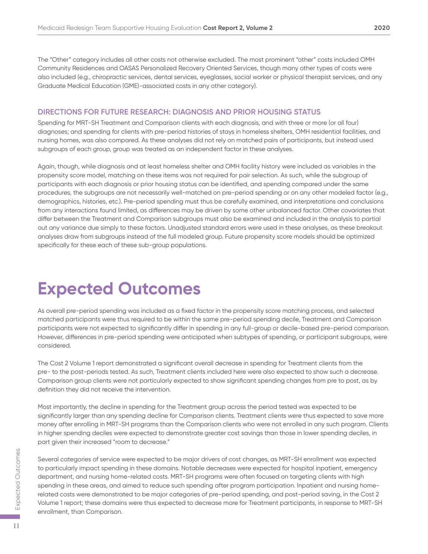The "Other" category includes all other costs not otherwise excluded. The most prominent "other" costs included OMH Community Residences and OASAS Personalized Recovery Oriented Services, though many other types of costs were also included (e.g., chiropractic services, dental services, eyeglasses, social worker or physical therapist services, and any Graduate Medical Education (GME)-associated costs in any other category).

#### **DIRECTIONS FOR FUTURE RESEARCH: DIAGNOSIS AND PRIOR HOUSING STATUS**

Spending for MRT-SH Treatment and Comparison clients with each diagnosis, and with three or more (or all four) diagnoses; and spending for clients with pre-period histories of stays in homeless shelters, OMH residential facilities, and nursing homes, was also compared. As these analyses did not rely on matched pairs of participants, but instead used subgroups of each group, group was treated as an independent factor in these analyses.

Again, though, while diagnosis and at least homeless shelter and OMH facility history were included as variables in the propensity score model, matching on these items was not required for pair selection. As such, while the subgroup of participants with each diagnosis or prior housing status can be identified, and spending compared under the same procedures, the subgroups are not necessarily well-matched on pre-period spending or on any other modeled factor (e.g., demographics, histories, etc.). Pre-period spending must thus be carefully examined, and interpretations and conclusions from any interactions found limited, as differences may be driven by some other unbalanced factor. Other covariates that differ between the Treatment and Comparison subgroups must also be examined and included in the analysis to partial out any variance due simply to these factors. Unadjusted standard errors were used in these analyses, as these breakout analyses draw from subgroups instead of the full modeled group. Future propensity score models should be optimized specifically for these each of these sub-group populations.

### **Expected Outcomes**

As overall pre-period spending was included as a fixed factor in the propensity score matching process, and selected matched participants were thus required to be within the same pre-period spending decile, Treatment and Comparison participants were not expected to significantly differ in spending in any full-group or decile-based pre-period comparison. However, differences in pre-period spending were anticipated when subtypes of spending, or participant subgroups, were considered.

The Cost 2 Volume 1 report demonstrated a significant overall decrease in spending for Treatment clients from the pre- to the post-periods tested. As such, Treatment clients included here were also expected to show such a decrease. Comparison group clients were not particularly expected to show significant spending changes from pre to post, as by definition they did not receive the intervention.

Most importantly, the decline in spending for the Treatment group across the period tested was expected to be significantly larger than any spending decline for Comparison clients. Treatment clients were thus expected to save more money after enrolling in MRT-SH programs than the Comparison clients who were not enrolled in any such program. Clients in higher spending deciles were expected to demonstrate greater cost savings than those in lower spending deciles, in part given their increased "room to decrease."

Several categories of service were expected to be major drivers of cost changes, as MRT-SH enrollment was expected to particularly impact spending in these domains. Notable decreases were expected for hospital inpatient, emergency department, and nursing home-related costs. MRT-SH programs were often focused on targeting clients with high spending in these areas, and aimed to reduce such spending after program participation. Inpatient and nursing homerelated costs were demonstrated to be major categories of pre-period spending, and post-period saving, in the Cost 2 Volume 1 report; these domains were thus expected to decrease more for Treatment participants, in response to MRT-SH enrollment, than Comparison.

11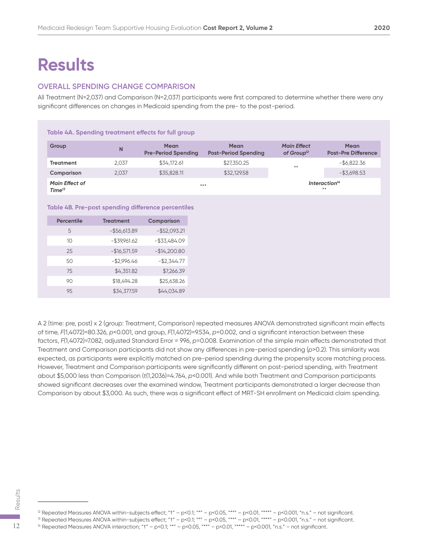### **Results**

#### **OVERALL SPENDING CHANGE COMPARISON**

All Treatment (N=2,037) and Comparison (N=2,037) participants were first compared to determine whether there were any significant differences on changes in Medicaid spending from the pre- to the post-period.

#### **Table 4A. Spending treatment effects for full group**

| Group                                       | N     | <b>Mean</b><br><b>Pre-Period Spending</b> | Mean<br><b>Post-Period Spending</b> | <b>Main Effect</b><br>of Group $^{12}$ | <b>Mean</b><br><b>Post-Pre Difference</b> |
|---------------------------------------------|-------|-------------------------------------------|-------------------------------------|----------------------------------------|-------------------------------------------|
| <b>Treatment</b>                            | 2.037 | \$34,172.61                               | \$27,350.25                         | $***$                                  | $-$ \$6,822.36                            |
| Comparison                                  | 2.037 | \$35,828.11                               | \$32,129.58                         |                                        | $-$ \$3,698.53                            |
| <b>Main Effect of</b><br>Time <sup>13</sup> |       | $***$                                     |                                     |                                        | Interaction <sup>14</sup><br>$* *$        |

#### **Table 4B. Pre-post spending difference percentiles**

| <b>Percentile</b> | <b>Treatment</b> | <b>Comparison</b> |
|-------------------|------------------|-------------------|
| 5                 | $-$ \$56,613.89  | $-$ \$52,093.21   |
| 10                | $-$ \$39,961.62  | $-$ \$33,484.09   |
| 25                | $-$16,571.59$    | $-$14,200.80$     |
| 50                | $-$2,996.46$     | $-$2,344.77$      |
| 75                | \$4,351.82       | \$7,266.39        |
| 90                | \$18,494.28      | \$25,638.26       |
| 95                | \$34,377.59      | \$44,034.89       |

A 2 (time: pre, post) x 2 (group: Treatment, Comparison) repeated measures ANOVA demonstrated significant main effects of time, *F*(1,4072)=80.326, *p*<0.001, and group, *F*(1,4072)=9.534, *p*=0.002, and a significant interaction between these factors, *F*(1,4072)=7.082, adjusted Standard Error = 996, *p*=0.008. Examination of the simple main effects demonstrated that Treatment and Comparison participants did not show any differences in pre-period spending (*p*>0.2). This similarity was expected, as participants were explicitly matched on pre-period spending during the propensity score matching process. However, Treatment and Comparison participants were significantly different on post-period spending, with Treatment about \$5,000 less than Comparison (*t*(1,2036)=4.764, *p*<0.001). And while both Treatment and Comparison participants showed significant decreases over the examined window, Treatment participants demonstrated a larger decrease than Comparison by about \$3,000. As such, there was a significant effect of MRT-SH enrollment on Medicaid claim spending.

<sup>12</sup> Repeated Measures ANOVA within-subjects effect; "t" - p<0.1; "\*" - p<0.05, "\*\*" - p<0.01, "\*\*" - p<0.001, "n.s." - not significant.  $^{\text{\tiny{13}}}$  Repeated Measures ANOVA within-subjects effect; "t" – p<0.1; "\*" – p<0.05, "\*\*" – p<0.01, "\*\*\*" – p<0.001, "n.s." – not significant. 14  $\frac{12}{90}$ <br>
14 Repeated Measures ANOVA within-subjects effect; "t" – p<0.1; "\*" – p<0.05, "\*\*" – p<0.01, "\*\*" – p<0.001, "n.s." – not<br>
14 Repeated Measures ANOVA within-subjects effect; "t" – p<0.1; "\*" – p<0.05, "\*\*"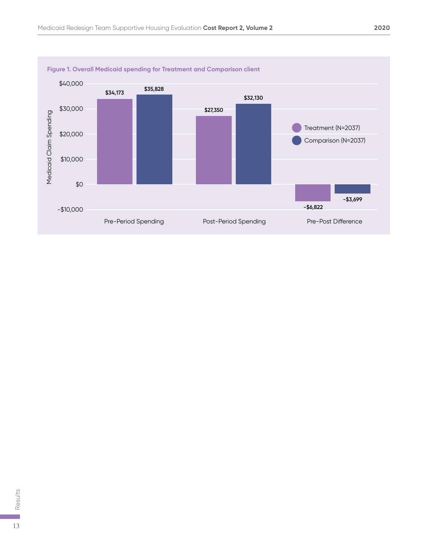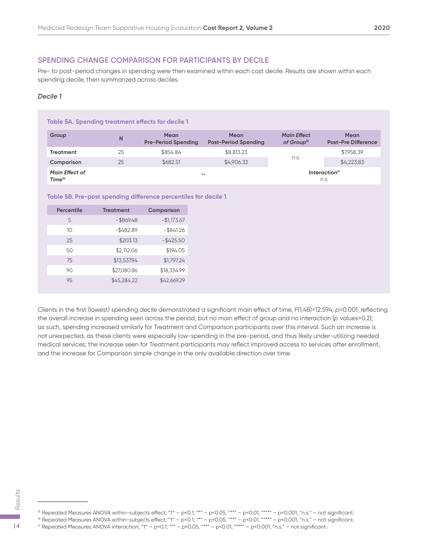#### **SPENDING CHANGE COMPARISON FOR PARTICIPANTS BY DECILE**

Pre- to post-period changes in spending were then examined within each cost decile. Results are shown within each spending decile, then summarized across deciles.

#### *Decile 1*

| Table 5A. Spending treatment effects for decile 1 |    |                                           |                                            |                                              |                                           |
|---------------------------------------------------|----|-------------------------------------------|--------------------------------------------|----------------------------------------------|-------------------------------------------|
| Group                                             | N  | <b>Mean</b><br><b>Pre-Period Spending</b> | <b>Mean</b><br><b>Post-Period Spending</b> | <b>Main Effect</b><br>of Group <sup>15</sup> | <b>Mean</b><br><b>Post-Pre Difference</b> |
| <b>Treatment</b>                                  | 25 | \$854.84                                  | \$8,813.23                                 | n.s.                                         | \$7,958.39                                |
| Comparison                                        | 25 | \$682.51                                  | \$4,906.33                                 |                                              | \$4,223.83                                |
| <b>Main Effect of</b><br>Time <sup>16</sup>       |    | $* *$                                     |                                            |                                              | Interaction <sup>17</sup><br>n.s.         |

#### **Table 5B. Pre-post spending difference percentiles for decile 1**

| <b>Percentile</b> | <b>Treatment</b> | Comparison   |
|-------------------|------------------|--------------|
| 5                 | $-$ \$869.48     | $-$1,173.67$ |
| 10                | $-$ \$482.89     | $-$ \$841.26 |
| 25                | \$203.13         | $-$425.50$   |
| 50                | \$2,112.06       | \$194.05     |
| 75                | \$13,537.94      | \$1,797.24   |
| 90                | \$27,080.86      | \$18,334.99  |
| 95                | \$45,284.22      | \$42,669.29  |
|                   |                  |              |

Clients in the first (lowest) spending decile demonstrated a significant main effect of time, *F*(1,48)=12.594, *p*=0.001, reflecting the overall increase in spending seen across the period, but no main effect of group and no interaction (*p* values>0.2); as such, spending increased similarly for Treatment and Comparison participants over this interval. Such an increase is not unexpected, as these clients were especially low-spending in the pre-period, and thus likely under-utilizing needed medical services; the increase seen for Treatment participants may reflect improved access to services after enrollment, and the increase for Comparison simple change in the only available direction over time.

<sup>15</sup> Repeated Measures ANOVA within-subjects effect; "t" - p<0.1; "\*" - p<0.05, "\*\*" - p<0.01, "\*\*\*" - p<0.001, "n.s." - not significant.  $16$  Repeated Measures ANOVA within-subjects effect; "t" – p<0.1; "\*" – p<0.05, "\*\*" – p<0.01, "\*\*" – p<0.001, "n.s." – not significant. 17 Is Repeated Measures ANOVA within-subjects effect; "t" – p<0.1; "\*" – p<0.05, "\*\*" – p<0.01, "\*\*" – p<0.001, "n.s." – not significant.<br>
14 If Repeated Measures ANOVA within-subjects effect; "t" – p<0.1; "\*" – p<0.05, "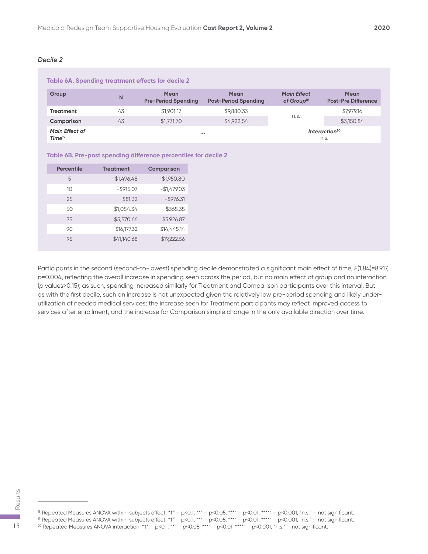| Table 6A. Spending treatment effects for decile 2 |    |                                            |                                            |                                              |                                           |  |  |
|---------------------------------------------------|----|--------------------------------------------|--------------------------------------------|----------------------------------------------|-------------------------------------------|--|--|
| Group                                             | N  | <b>Mean</b><br><b>Pre-Period Spending</b>  | <b>Mean</b><br><b>Post-Period Spending</b> | <b>Main Effect</b><br>of Group <sup>18</sup> | <b>Mean</b><br><b>Post-Pre Difference</b> |  |  |
| <b>Treatment</b>                                  | 43 | \$1,901.17                                 | \$9,880.33                                 |                                              | \$7,979.16                                |  |  |
| Comparison                                        | 43 | \$1,771,70                                 | \$4,922.54                                 | n.s.                                         | \$3,150.84                                |  |  |
| <b>Main Effect of</b><br>Time <sup>19</sup>       |    | Interaction <sup>20</sup><br>$* *$<br>n.s. |                                            |                                              |                                           |  |  |

#### **Table 6B. Pre-post spending difference percentiles for decile 2**

| <b>Percentile</b> | <b>Treatment</b> | <b>Comparison</b> |
|-------------------|------------------|-------------------|
| 5                 | $-$1,496.48$     | $-$1,950.80$      |
| 10                | $-$ \$915.07     | $-$1,479.03$      |
| 25                | \$81.32          | $-$ \$976.31      |
| 50                | \$1,054.34       | \$365.35          |
| 75                | \$5,570.66       | \$5,926.87        |
| 90                | \$16,177.32      | \$14,445.14       |
| 9.5               | \$41,140.68      | \$19,222.56       |

Participants in the second (second-to-lowest) spending decile demonstrated a significant main effect of time, *F*(1,84)=8.917, *p*=0.004, reflecting the overall increase in spending seen across the period, but no main effect of group and no interaction (*p* values>0.15); as such, spending increased similarly for Treatment and Comparison participants over this interval. But as with the first decile, such an increase is not unexpected given the relatively low pre-period spending and likely underutilization of needed medical services; the increase seen for Treatment participants may reflect improved access to services after enrollment, and the increase for Comparison simple change in the only available direction over time.

<sup>18</sup> Repeated Measures ANOVA within-subjects effect; "t" - p<0.1; "\*" - p<0.05, "\*\*" - p<0.01, "\*\*\*" - p<0.001, "n.s." - not significant. 19 Repeated Measures ANOVA within-subjects effect; "†" – p<0.1; "\*" – p<0.05, "\*\*" – p<0.01, "\*\*\*" – p<0.001, "n.s." – not significant. <sup>20</sup> 15<br>
<sup>20</sup> Repeated Measures ANOVA within-subjects effect; "†" – p<0.1; "\*" – p<0.05, "\*\*" – p<0.01, "\*\*" – p<0.001, "n.s." – not s<br>
<sup>16</sup> Repeated Measures ANOVA within-subjects effect; "†" – p<0.1; "\*" – p<0.05, "\*\*"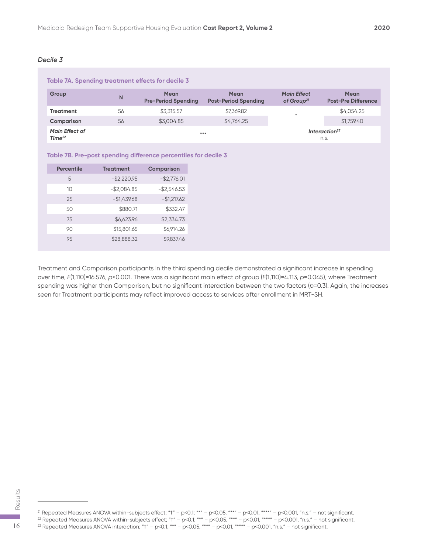| Table 7A. Spending treatment effects for decile 3 |                                            |                                           |                                            |                                              |                                    |  |  |
|---------------------------------------------------|--------------------------------------------|-------------------------------------------|--------------------------------------------|----------------------------------------------|------------------------------------|--|--|
| Group                                             | N                                          | <b>Mean</b><br><b>Pre-Period Spending</b> | <b>Mean</b><br><b>Post-Period Spending</b> | <b>Main Effect</b><br>of Group <sup>21</sup> | Mean<br><b>Post-Pre Difference</b> |  |  |
| <b>Treatment</b>                                  | 56                                         | \$3,315.57                                | \$7,369.82                                 | $\frac{1}{2}$                                | \$4.054.25                         |  |  |
| Comparison                                        | 56                                         | \$3,004.85                                | \$4,764.25                                 |                                              | \$1,759.40                         |  |  |
| <b>Main Effect of</b><br>Time <sup>22</sup>       | Interaction <sup>23</sup><br>$***$<br>n.s. |                                           |                                            |                                              |                                    |  |  |

#### **Table 7B. Pre-post spending difference percentiles for decile 3**

| <b>Percentile</b> | <b>Treatment</b> | Comparison     |
|-------------------|------------------|----------------|
| 5                 | $-$ \$2,220.95   | $-$ \$2,776.01 |
| 10                | $-$2,084.85$     | $-$ \$2,546.53 |
| 25                | $-$1,439.68$     | $-$1,217.62$   |
| 50                | \$880.71         | \$332.47       |
| 75                | \$6,623.96       | \$2,334.73     |
| 90                | \$15,801.65      | \$6,914.26     |
| 9.5               | \$28,888.32      | \$9,837.46     |

Treatment and Comparison participants in the third spending decile demonstrated a significant increase in spending over time, *F*(1,110)=16.576, *p*<0.001. There was a significant main effect of group (*F*(1,110)=4.113, *p*=0.045), where Treatment spending was higher than Comparison, but no significant interaction between the two factors (*p*=0.3). Again, the increases seen for Treatment participants may reflect improved access to services after enrollment in MRT-SH.

<sup>21</sup> Repeated Measures ANOVA within-subjects effect; "t" - p<0.1; "\*" - p<0.05, "\*\*" - p<0.01, "\*\*\*" - p<0.001, "n.s." - not significant.  $^{22}$  Repeated Measures ANOVA within-subjects effect; "t" – p<0.1; "\*" – p<0.05, "\*\*" – p<0.01, "\*\*" – p<0.001, "n.s." – not significant. 23<br>
22 Repeated Measures ANOVA within-subjects effect; "†" – p<0.1; "\*" – p<0.05, "\*\*" – p<0.01, "\*\*" – p<0.001, "n.s." – not s<br>
22 Repeated Measures ANOVA within-subjects effect; "†" – p<0.1; "\*" – p<0.05, "\*\*" – p<0.01,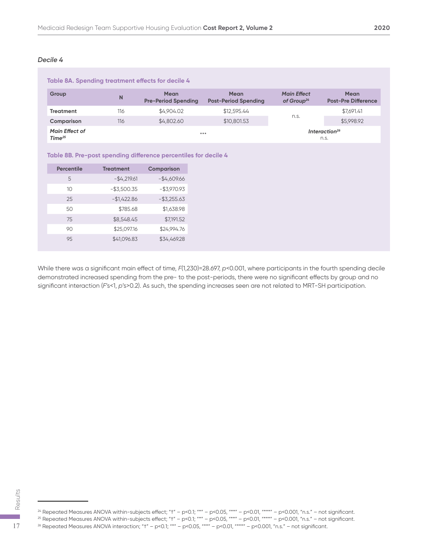| Table 8A. Spending treatment effects for decile 4 |     |                                            |                                            |                                              |                                           |  |  |
|---------------------------------------------------|-----|--------------------------------------------|--------------------------------------------|----------------------------------------------|-------------------------------------------|--|--|
| Group                                             | N   | <b>Mean</b><br><b>Pre-Period Spending</b>  | <b>Mean</b><br><b>Post-Period Spending</b> | <b>Main Effect</b><br>of Group <sup>24</sup> | <b>Mean</b><br><b>Post-Pre Difference</b> |  |  |
| <b>Treatment</b>                                  | 116 | \$4,904.02                                 | \$12,595.44                                |                                              | \$7.691.41                                |  |  |
| Comparison                                        | 116 | \$4,802.60                                 | \$10,801.53                                | n.s.                                         | \$5,998.92                                |  |  |
| <b>Main Effect of</b><br>Time <sup>25</sup>       |     | Interaction <sup>26</sup><br>$***$<br>n.s. |                                            |                                              |                                           |  |  |

#### **Table 8B. Pre-post spending difference percentiles for decile 4**

| <b>Percentile</b> | <b>Treatment</b> | <b>Comparison</b> |
|-------------------|------------------|-------------------|
| 5                 | $-$4,219.61$     | $-$4,609.66$      |
| 10                | $-$3,500.35$     | $-$3,970.93$      |
| 25                | $-$1,422.86$     | $-$ \$3,255.63    |
| 50                | \$785.68         | \$1,638.98        |
| 75                | \$8,548.45       | \$7.191.52        |
| 90                | \$25,097.16      | \$24,994.76       |
| 95                | \$41,096.83      | \$34,469.28       |

While there was a significant main effect of time, *F*(1,230)=28.697, *p*<0.001, where participants in the fourth spending decile demonstrated increased spending from the pre- to the post-periods, there were no significant effects by group and no significant interaction (*F*'s<1, *p*'s>0.2). As such, the spending increases seen are not related to MRT-SH participation.

<sup>24</sup> Repeated Measures ANOVA within-subjects effect; "†" – p<0.1; "\*" – p<0.05, "\*\*" – p<0.01, "\*\*\*" – p<0.001, "n.s." – not significant. 24 Repeated Measures ANOVA within-subjects effect; "t" – p<0.1; "\*" – p<0.05, "\*\*" – p<0.01, "\*\*" – p<0.001, "n.s." – not stars and the property of the subjects of fect; "t" – p<0.1; "\*" – p<0.05, "\*\*" – p<0.01, "\*\*" – p<

 $^{25}$  Repeated Measures ANOVA within-subjects effect; "t" – p<0.1; "\*" – p<0.05, "\*\*" – p<0.01, "\*\*\*" – p<0.001, "n.s." – not significant.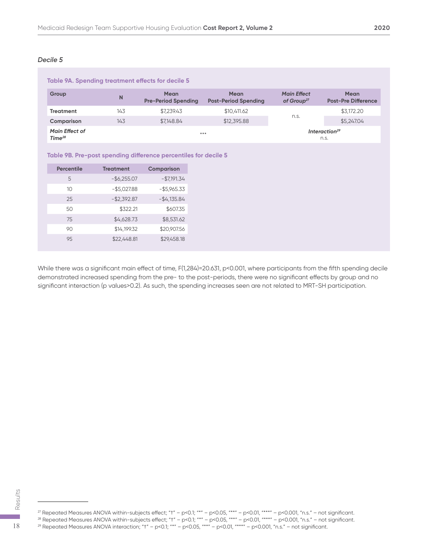| Table 9A. Spending treatment effects for decile 5 |              |                                              |                                            |                                              |                                           |  |  |
|---------------------------------------------------|--------------|----------------------------------------------|--------------------------------------------|----------------------------------------------|-------------------------------------------|--|--|
| Group                                             | $\mathsf{N}$ | <b>Mean</b><br><b>Pre-Period Spending</b>    | <b>Mean</b><br><b>Post-Period Spending</b> | <b>Main Effect</b><br>of Group <sup>27</sup> | <b>Mean</b><br><b>Post-Pre Difference</b> |  |  |
| Treatment                                         | 143          | \$7.239.43                                   | \$10,411.62                                |                                              | \$3,172.20                                |  |  |
| Comparison                                        | 143          | \$7,148.84                                   | \$12,395.88                                | n.s.                                         | \$5,247.04                                |  |  |
| <b>Main Effect of</b><br>Time <sup>28</sup>       |              | Interaction <sup>29</sup><br>$* * *$<br>n.s. |                                            |                                              |                                           |  |  |

#### **Table 9B. Pre-post spending difference percentiles for decile 5**

| <b>Percentile</b> | <b>Treatment</b> | Comparison   |
|-------------------|------------------|--------------|
| 5                 | $-$ \$6,255.07   | $-$7,191.34$ |
| 10                | $-$ \$5,027.88   | $-$5,965.33$ |
| 25                | $-$2,392.87$     | $-$4,135.84$ |
| 50                | \$322.21         | \$607.35     |
| 75                | \$4,628.73       | \$8,531.62   |
| 90                | \$14,199.32      | \$20,907.56  |
| 9.5               | \$22,448.81      | \$29.458.18  |

While there was a significant main effect of time, F(1,284)=20.631, p<0.001, where participants from the fifth spending decile demonstrated increased spending from the pre- to the post-periods, there were no significant effects by group and no significant interaction (p values>0.2). As such, the spending increases seen are not related to MRT-SH participation.

<sup>27</sup> Repeated Measures ANOVA within-subjects effect; "t" - p<0.1; "\*" - p<0.05, "\*\*" - p<0.01, "\*\*\*" - p<0.001, "n.s." - not significant.  $\frac{29}{28}$ <br>
<sup>27</sup> Repeated Measures ANOVA within-subjects effect; "t" – p<0.1; "\*" – p<0.05, "\*\*" – p<0.01, "\*\*" – p<0.001, "n.s." – not s<sup>28</sup> Repeated Measures ANOVA within-subjects effect; "t" – p<0.1; "\*" – p<0.05, "\*\*

 $^{28}$  Repeated Measures ANOVA within-subjects effect; "t" – p<0.1; "\*" – p<0.05, "\*\*" – p<0.01, "\*\*" – p<0.001, "n.s." – not significant.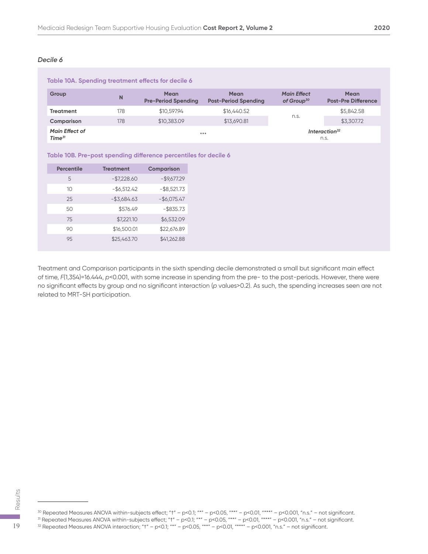| Table 10A. Spending treatment effects for decile 6 |     |                                            |                                            |                                              |                                           |  |  |
|----------------------------------------------------|-----|--------------------------------------------|--------------------------------------------|----------------------------------------------|-------------------------------------------|--|--|
| Group                                              | N   | <b>Mean</b><br><b>Pre-Period Spending</b>  | <b>Mean</b><br><b>Post-Period Spending</b> | <b>Main Effect</b><br>of Group <sup>30</sup> | <b>Mean</b><br><b>Post-Pre Difference</b> |  |  |
| <b>Treatment</b>                                   | 178 | \$10,597.94                                | \$16,440.52                                |                                              | \$5,842.58                                |  |  |
| Comparison                                         | 178 | \$10,383.09                                | \$13,690.81                                | n.s.                                         | \$3,307.72                                |  |  |
| <b>Main Effect of</b><br>Time <sup>31</sup>        |     | Interaction <sup>32</sup><br>$***$<br>n.s. |                                            |                                              |                                           |  |  |

#### **Table 10B. Pre-post spending difference percentiles for decile 6**

| <b>Percentile</b> | <b>Treatment</b> | <b>Comparison</b> |
|-------------------|------------------|-------------------|
| 5                 | $-$7,228.60$     | $-$ \$9,677.29    |
| 10                | $-$ \$6,512.42   | $-$ \$8,521.73    |
| 25                | $-$ \$3,684.63   | $-$ \$6,075.47    |
| 50                | \$576.49         | $-$ \$835.73      |
| 75                | \$7,221.10       | \$6,532.09        |
| 90                | \$16,500.01      | \$22,676.89       |
| 95                | \$25,463.70      | \$41,262.88       |

Treatment and Comparison participants in the sixth spending decile demonstrated a small but significant main effect of time, *F*(1,354)=16.444, *p*<0.001, with some increase in spending from the pre- to the post-periods. However, there were no significant effects by group and no significant interaction (*p* values>0.2). As such, the spending increases seen are not related to MRT-SH participation.

 $^{30}$  Repeated Measures ANOVA within-subjects effect; "t" – p<0.1; "\*" – p<0.05, "\*\*" – p<0.01, "\*\*" – p<0.001, "n.s." – not significant. 33 Repeated Measures ANOVA within-subjects effect; "t" – p<0.1; "\*" – p<0.05, "\*\*" – p<0.01, "\*\*" – p<0.001, "n.s." – not significant.<br>31 Repeated Measures ANOVA within-subjects effect; "t" – p<0.1; "\*" – p<0.05, "\*\*" – p

 $^{31}$  Repeated Measures ANOVA within-subjects effect; "t" – p<0.1; "\*" – p<0.05, "\*\*" – p<0.01, "\*\*\*" – p<0.001, "n.s." – not significant.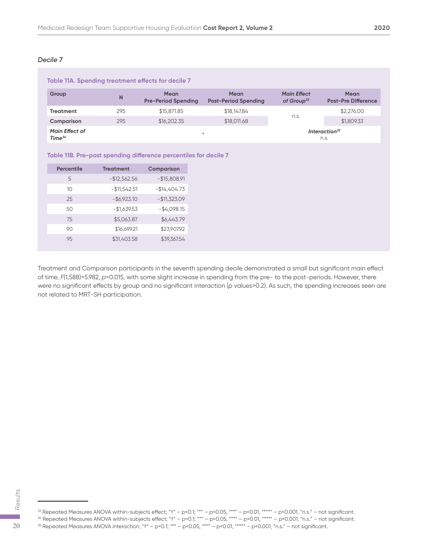| Table 11A. Spending treatment effects for decile 7 |     |                                           |                                            |                                     |                                           |  |  |
|----------------------------------------------------|-----|-------------------------------------------|--------------------------------------------|-------------------------------------|-------------------------------------------|--|--|
| Group                                              | N   | <b>Mean</b><br><b>Pre-Period Spending</b> | <b>Mean</b><br><b>Post-Period Spending</b> | <b>Main Effect</b><br>of Group $33$ | <b>Mean</b><br><b>Post-Pre Difference</b> |  |  |
| <b>Treatment</b>                                   | 295 | \$15,871.85                               | \$18,147.84                                |                                     | \$2,276.00                                |  |  |
| Comparison                                         | 295 | \$16,202.35                               | \$18,011.68                                | n.s.                                | \$1,809.33                                |  |  |
| <b>Main Effect of</b><br>Time <sup>34</sup>        |     | $\ast$                                    |                                            | Interaction <sup>35</sup><br>n.s.   |                                           |  |  |

| Table 11B. Pre-post spending difference percentiles for decile 7 |  |  |  |  |
|------------------------------------------------------------------|--|--|--|--|
|------------------------------------------------------------------|--|--|--|--|

| <b>Percentile</b> | <b>Treatment</b> | <b>Comparison</b> |
|-------------------|------------------|-------------------|
| 5                 | $-$12,562.56$    | $-$15,808.91$     |
| 10                | $-$11,542.51$    | $-$14,404.73$     |
| 25                | $-$ \$6,923.10   | $-$11,323.09$     |
| 50                | $-$1,639.53$     | $-$4,098.15$      |
| 75                | \$5,063.87       | \$6,443.79        |
| 90                | \$16,699.21      | \$23,907.92       |
| 95                | \$31,403.58      | \$39,367.54       |

Treatment and Comparison participants in the seventh spending decile demonstrated a small but significant main effect of time, *F*(1,588)=5.982, *p*=0.015, with some slight increase in spending from the pre- to the post-periods. However, there were no significant effects by group and no significant interaction (*p* values>0.2). As such, the spending increases seen are not related to MRT-SH participation.

 $\frac{33}{2}$  Repeated Measures ANOVA within-subjects effect; "t" – p<0.1; "\*" – p<0.05, "\*\*" – p<0.01, "\*\*\*" – p<0.001, "n.s." – not significant. 33 Repeated Measures ANOVA within-subjects effect; "†" – p<0.1; "\*" – p<0.05, "\*\*" – p<0.01, "\*\*" – p<0.001, "n.s." – not stars and the subjects of the stars in the subject of the stars in the subjects of fect; "†" – p<0.

<sup>34</sup> Repeated Measures ANOVA within-subjects effect; "†" – p<0.1; "\*" – p<0.05, "\*\*" – p<0.01, "\*\*\*" – p<0.001, "n.s." – not significant.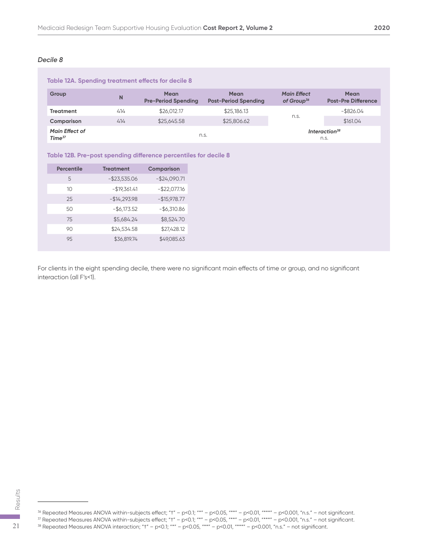| Table 12A. Spending treatment effects for decile 8 |     |                                           |                                            |                                              |                                           |  |
|----------------------------------------------------|-----|-------------------------------------------|--------------------------------------------|----------------------------------------------|-------------------------------------------|--|
| Group                                              | N   | <b>Mean</b><br><b>Pre-Period Spending</b> | <b>Mean</b><br><b>Post-Period Spending</b> | <b>Main Effect</b><br>of Group <sup>36</sup> | <b>Mean</b><br><b>Post-Pre Difference</b> |  |
| <b>Treatment</b>                                   | 414 | \$26,012.17                               | \$25,186.13                                |                                              | $-$ \$826.04                              |  |
| Comparison                                         | 414 | \$25,645.58                               | \$25,806.62                                | n.s.                                         | \$161.04                                  |  |
| <b>Main Effect of</b><br>Time <sup>37</sup>        |     |                                           | n.s.                                       |                                              | Interaction <sup>38</sup><br>n.s.         |  |

#### **Table 12B. Pre-post spending difference percentiles for decile 8**

| <b>Percentile</b> | <b>Treatment</b> | <b>Comparison</b> |
|-------------------|------------------|-------------------|
| 5                 | $-$ \$23,535.06  | $-$24,090.71$     |
| 10                | $-$19,361.41$    | $-$ \$22,077.16   |
| 25                | $-$14,293.98$    | $-$15,978.77$     |
| 50                | $-$ \$6,173.52   | $-$6,310.86$      |
| 75                | \$5,684.24       | \$8,524.70        |
| 90                | \$24,534.58      | \$27,428.12       |
| 95                | \$36,819.74      | \$49,085.63       |

For clients in the eight spending decile, there were no significant main effects of time or group, and no significant interaction (all F's<1).

 $^{37}$  Repeated Measures ANOVA within-subjects effect; "t" – p<0.1; "\*" – p<0.05, "\*\*" – p<0.01, "\*\*\*" – p<0.001, "n.s." – not significant.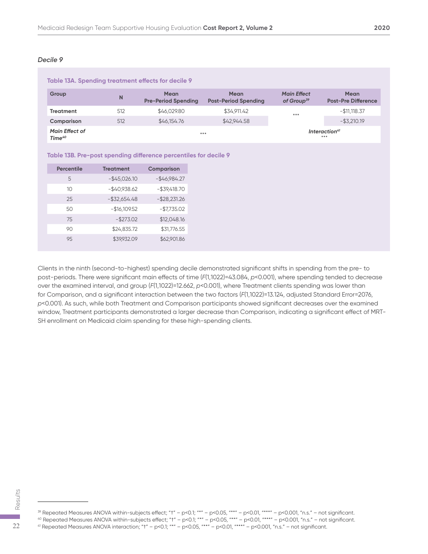| Table 13A. Spending treatment effects for decile 9 |     |                                           |                                            |                                              |                                           |  |
|----------------------------------------------------|-----|-------------------------------------------|--------------------------------------------|----------------------------------------------|-------------------------------------------|--|
| Group                                              | N   | <b>Mean</b><br><b>Pre-Period Spending</b> | <b>Mean</b><br><b>Post-Period Spending</b> | <b>Main Effect</b><br>of Group <sup>39</sup> | <b>Mean</b><br><b>Post-Pre Difference</b> |  |
| <b>Treatment</b>                                   | 512 | \$46,029.80                               | \$34,911.42                                | $***$                                        | $-$ \$11,118.37                           |  |
| Comparison                                         | 512 | \$46,154.76                               | \$42,944.58                                |                                              | $-$ \$3,210.19                            |  |
| <b>Main Effect of</b><br>Time <sup>40</sup>        |     | $* * *$                                   |                                            |                                              | Interaction <sup>41</sup><br>***          |  |

|  |  |  |  | Table 13B. Pre-post spending difference percentiles for decile 9 |  |
|--|--|--|--|------------------------------------------------------------------|--|
|--|--|--|--|------------------------------------------------------------------|--|

| <b>Percentile</b> | <b>Treatment</b> | Comparison      |
|-------------------|------------------|-----------------|
| 5                 | $-$ \$45,026.10  | $-$46,984.27$   |
| 10                | $-$40,938.62$    | $-$ \$39,418.70 |
| 25                | $-$ \$32,654.48  | $-$ \$28,231.26 |
| 50                | $-$16,109.52$    | $-$7,735.02$    |
| 75                | $-$ \$273.02     | \$12,048.16     |
| 90                | \$24,835.72      | \$31,776.55     |
| 95                | \$39,932.09      | \$62,901.86     |

Clients in the ninth (second-to-highest) spending decile demonstrated significant shifts in spending from the pre- to post-periods. There were significant main effects of time (*F*(1,1022)=43.084, *p*<0.001), where spending tended to decrease over the examined interval, and group (*F*(1,1022)=12.662, *p*<0.001), where Treatment clients spending was lower than for Comparison, and a significant interaction between the two factors (*F*(1,1022)=13.124, adjusted Standard Error=2076, *p*<0.001). As such, while both Treatment and Comparison participants showed significant decreases over the examined window, Treatment participants demonstrated a larger decrease than Comparison, indicating a significant effect of MRT-SH enrollment on Medicaid claim spending for these high-spending clients.

<sup>40</sup> Repeated Measures ANOVA within-subjects effect; "†" – p<0.1; "\*" – p<0.05, "\*\*" – p<0.01, "\*\*\*" – p<0.001, "n.s." – not significant.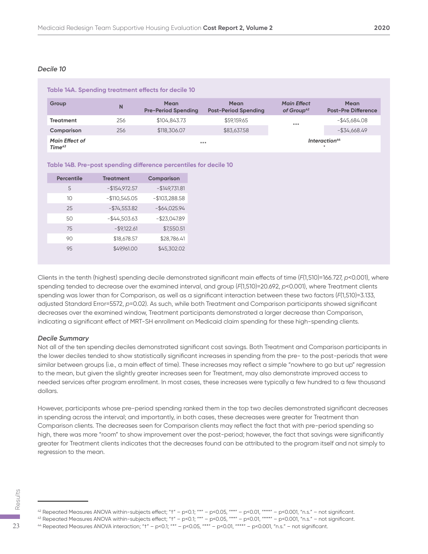| Table 14A. Spending treatment effects for decile 10 |     |                                           |                                            |                                              |                                           |  |
|-----------------------------------------------------|-----|-------------------------------------------|--------------------------------------------|----------------------------------------------|-------------------------------------------|--|
| Group                                               | N   | <b>Mean</b><br><b>Pre-Period Spending</b> | <b>Mean</b><br><b>Post-Period Spending</b> | <b>Main Effect</b><br>of Group <sup>42</sup> | <b>Mean</b><br><b>Post-Pre Difference</b> |  |
| <b>Treatment</b>                                    | 256 | \$104,843.73                              | \$59,159.65                                | $***$                                        | $-$ \$45.684.08                           |  |
| Comparison                                          | 256 | \$118,306.07                              | \$83,637.58                                |                                              | $-$ \$34,668.49                           |  |
| <b>Main Effect of</b><br>Time <sup>43</sup>         |     | $***$                                     |                                            |                                              | Interaction <sup>44</sup><br>$\ast$       |  |

#### **Table 14B. Pre-post spending difference percentiles for decile 10**

| <b>Percentile</b> | <b>Treatment</b> | <b>Comparison</b> |
|-------------------|------------------|-------------------|
| 5                 | $-$154,972.57$   | $-$149,731.81$    |
| 10                | $-$110,545.05$   | $-$103,288.58$    |
| 25                | $-$74,553.82$    | $-$ \$64,025.94   |
| 50                | $-$44,503.63$    | $-$ \$23,047.89   |
| 75                | $-$ \$9,122.61   | \$7,550.51        |
| 90                | \$18,678.57      | \$28,786.41       |
| 9.5               | \$49.961.00      | \$45,302.02       |

Clients in the tenth (highest) spending decile demonstrated significant main effects of time (*F*(1,510)=166.727, *p*<0.001), where spending tended to decrease over the examined interval, and group (*F*(1,510)=20.692, *p*<0.001), where Treatment clients spending was lower than for Comparison, as well as a significant interaction between these two factors (*F*(1,510)=3.133, adjusted Standard Error=5572, *p*=0.02). As such, while both Treatment and Comparison participants showed significant decreases over the examined window, Treatment participants demonstrated a larger decrease than Comparison, indicating a significant effect of MRT-SH enrollment on Medicaid claim spending for these high-spending clients.

#### *Decile Summary*

Not all of the ten spending deciles demonstrated significant cost savings. Both Treatment and Comparison participants in the lower deciles tended to show statistically significant increases in spending from the pre- to the post-periods that were similar between groups (i.e., a main effect of time). These increases may reflect a simple "nowhere to go but up" regression to the mean, but given the slightly greater increases seen for Treatment, may also demonstrate improved access to needed services after program enrollment. In most cases, these increases were typically a few hundred to a few thousand dollars.

However, participants whose pre-period spending ranked them in the top two deciles demonstrated significant decreases in spending across the interval; and importantly, in both cases, these decreases were greater for Treatment than Comparison clients. The decreases seen for Comparison clients may reflect the fact that with pre-period spending so high, there was more "room" to show improvement over the post-period; however, the fact that savings were significantly greater for Treatment clients indicates that the decreases found can be attributed to the program itself and not simply to regression to the mean.

 $^{42}$  Repeated Measures ANOVA within-subjects effect; "t" – p<0.1; "\*" – p<0.05, "\*\*" – p<0.01, "\*\*\*" – p<0.001, "n.s." – not significant. 44 Repeated Measures ANOVA within-subjects effect; "t" – p<0.1; "\*" – p<0.05, "\*\*" – p<0.01, "\*\*" – p<0.001, "n.s." – not say Repeated Measures ANOVA within-subjects effect; "t" – p<0.1; "\*" – p<0.05, "\*\*" – p<0.01, "\*\*"

<sup>43</sup> Repeated Measures ANOVA within-subjects effect; "†" – p<0.1; "\*" – p<0.05, "\*\*" – p<0.01, "\*\*\*" – p<0.001, "n.s." – not significant.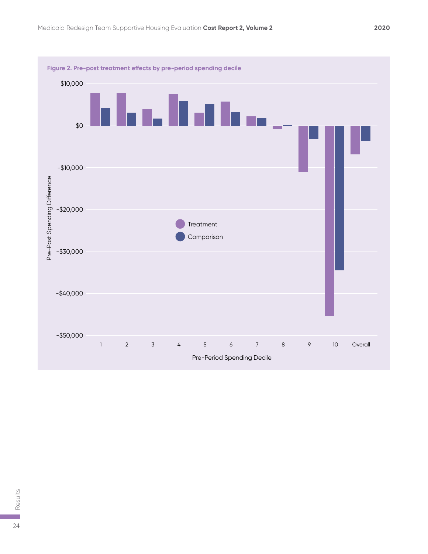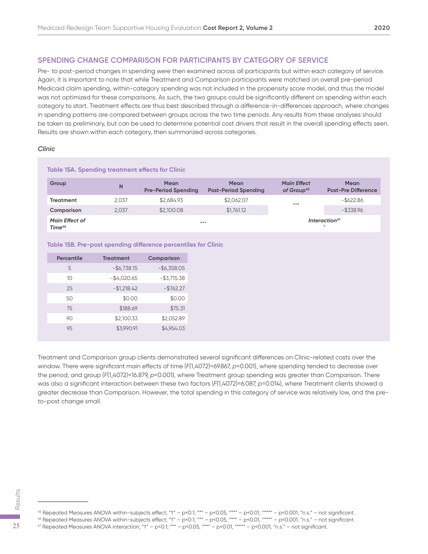#### **SPENDING CHANGE COMPARISON FOR PARTICIPANTS BY CATEGORY OF SERVICE**

Pre- to post-period changes in spending were then examined across all participants but within each category of service. Again, it is important to note that while Treatment and Comparison participants were matched on overall pre-period Medicaid claim spending, within-category spending was not included in the propensity score model, and thus the model was not optimized for these comparisons. As such, the two groups could be significantly different on spending within each category to start. Treatment effects are thus best described through a difference-in-differences approach, where changes in spending patterns are compared between groups across the two time periods. Any results from these analyses should be taken as preliminary, but can be used to determine potential cost drivers that result in the overall spending effects seen. Results are shown within each category, then summarized across categories.

#### *Clinic*

| Table 15A. Spending treatment effects for Clinic |       |                                           |                                            |                                              |                                           |  |
|--------------------------------------------------|-------|-------------------------------------------|--------------------------------------------|----------------------------------------------|-------------------------------------------|--|
| Group                                            | N     | <b>Mean</b><br><b>Pre-Period Spending</b> | <b>Mean</b><br><b>Post-Period Spending</b> | <b>Main Effect</b><br>of Group <sup>45</sup> | <b>Mean</b><br><b>Post-Pre Difference</b> |  |
| Treatment                                        | 2.037 | \$2.684.93                                | \$2,062.07                                 | $***$                                        | $-$ \$622.86                              |  |
| Comparison                                       | 2,037 | \$2,100.08                                | \$1,761.12                                 |                                              | $-$ \$338.96                              |  |
| <b>Main Effect of</b><br>Time <sup>46</sup>      |       |                                           | $***$                                      |                                              | Interaction <sup>47</sup><br>$\ast$       |  |

#### **Table 15B. Pre-post spending difference percentiles for Clinic**

| <b>Percentile</b> | <b>Treatment</b> | <b>Comparison</b> |
|-------------------|------------------|-------------------|
| 5                 | $-$6,738.15$     | $-$ \$6,358.05    |
| 10                | $-$4,020.65$     | $-$ \$3,715.38    |
| 25                | $-$1,218.42$     | $-$ \$762.27      |
| 50                | \$0.00           | \$0.00            |
| 75                | \$188.69         | \$75.31           |
| 90                | \$2,100.33       | \$2,052.89        |
| 9.5               | \$3,990.91       | \$4,954.03        |

Treatment and Comparison group clients demonstrated several significant differences on Clinic-related costs over the window. There were significant main effects of time (*F*(1,4072)=69.867, *p*<0.001), where spending tended to decrease over the period, and group (*F*(1,4072)=16.879, *p*<0.001), where Treatment group spending was greater than Comparison. There was also a significant interaction between these two factors (*F*(1,4072)=6.087, *p*=0.014), where Treatment clients showed a greater decrease than Comparison. However, the total spending in this category of service was relatively low, and the preto-post change small.

45 Repeated Measures ANOVA within-subjects effect; "t" - p<0.1; "\*" - p<0.05, "\*\*" - p<0.01, "\*\*\*" - p<0.001, "n.s." - not significant. 45 Repeated Measures ANOVA within-subjects effect; "t" – p<0.1; "\*" – p<0.05, "\*\*" – p<0.01, "\*\*" – p<0.001, "n.s." – not started Measures ANOVA within-subjects effect; "t" – p<0.1; "\*" – p<0.05, "\*\*" – p<0.01, "\*\*" – p<0

 $^{46}$  Repeated Measures ANOVA within-subjects effect; "t" – p<0.1; "\*" – p<0.05, "\*\*" – p<0.01, "\*\*" – p<0.001, "n.s." – not significant.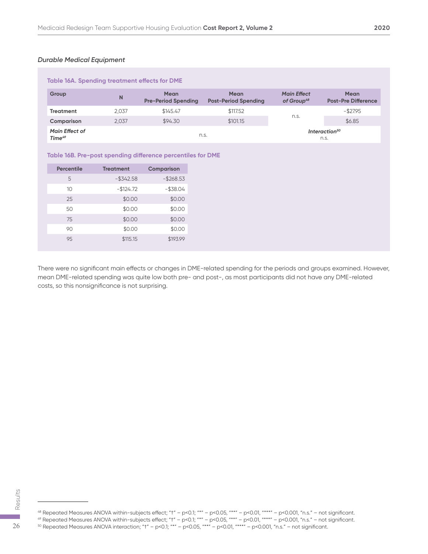#### *Durable Medical Equipment*

| Table 16A. Spending treatment effects for DME |       |                                           |                                            |                                              |                                    |  |
|-----------------------------------------------|-------|-------------------------------------------|--------------------------------------------|----------------------------------------------|------------------------------------|--|
| Group                                         | N     | <b>Mean</b><br><b>Pre-Period Spending</b> | <b>Mean</b><br><b>Post-Period Spending</b> | <b>Main Effect</b><br>of Group <sup>48</sup> | Mean<br><b>Post-Pre Difference</b> |  |
| <b>Treatment</b>                              | 2.037 | \$145.47                                  | \$117.52                                   |                                              | $-$ \$27.95                        |  |
| Comparison                                    | 2.037 | \$94.30                                   | \$101.15                                   | n.s.                                         | \$6.85                             |  |
| <b>Main Effect of</b><br>Time <sup>49</sup>   |       | n.s.                                      |                                            |                                              | Interaction <sup>50</sup><br>n.s.  |  |

#### **Table 16B. Pre-post spending difference percentiles for DME**

| Percentile | <b>Treatment</b> | <b>Comparison</b> |
|------------|------------------|-------------------|
| 5          | $-$ \$342.58     | $-$268.53$        |
| 10         | $-$124.72$       | $-$ \$38.04       |
| 25         | \$0.00           | \$0.00            |
| 50         | \$0.00           | \$0.00            |
| 75         | \$0.00           | \$0.00            |
| 90         | \$0.00           | \$0.00            |
| 95         | \$115.15         | \$193.99          |

There were no significant main effects or changes in DME-related spending for the periods and groups examined. However, mean DME-related spending was quite low both pre- and post-, as most participants did not have any DME-related costs, so this nonsignificance is not surprising.

 $^{48}$  Repeated Measures ANOVA within-subjects effect; "t" – p<0.1; "\*" – p<0.05, "\*\*" – p<0.01, "\*\*" – p<0.001, "n.s." – not significant.  $\frac{25}{50}$ <br>  $\frac{48}{50}$ <br>  $\frac{48}{50}$  Repeated Measures ANOVA within-subjects effect; "t" – p<0.1; "\*" – p<0.05, "\*\*" – p<0.01, "\*\*" – p<0.001, "n.s." – not significant.<br>  $\frac{48}{50}$  Repeated Measures ANOVA within-subject

 $^{49}$  Repeated Measures ANOVA within-subjects effect; "t" – p<0.1; "\*" – p<0.05, "\*\*" – p<0.01, "\*\*" – p<0.001, "n.s." – not significant.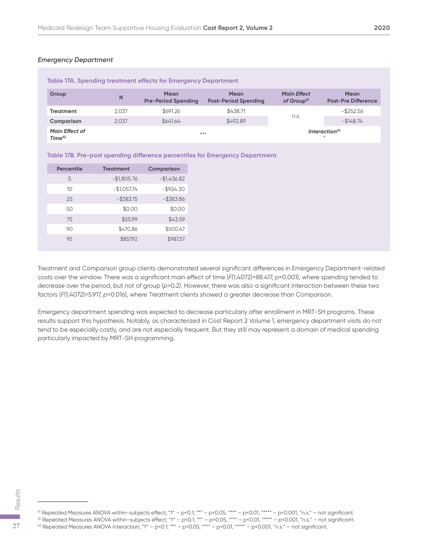#### *Emergency Department*

| Table 17A. Spending treatment effects for Emergency Department |       |                                           |                                            |                                              |                                           |  |
|----------------------------------------------------------------|-------|-------------------------------------------|--------------------------------------------|----------------------------------------------|-------------------------------------------|--|
| Group                                                          | N     | <b>Mean</b><br><b>Pre-Period Spending</b> | <b>Mean</b><br><b>Post-Period Spending</b> | <b>Main Effect</b><br>of Group <sup>51</sup> | <b>Mean</b><br><b>Post-Pre Difference</b> |  |
| <b>Treatment</b>                                               | 2.037 | \$691.26                                  | \$438.71                                   |                                              | $-$ \$252.56                              |  |
| Comparison                                                     | 2.037 | \$641.64                                  | \$492.89                                   | n.s.                                         | $-1148.74$                                |  |
| <b>Main Effect of</b><br>Time <sup>52</sup>                    |       |                                           | $* * *$                                    |                                              | Interaction <sup>53</sup>                 |  |

| Table 17B. Pre-post spending difference percentiles for Emergency Department |  |  |  |
|------------------------------------------------------------------------------|--|--|--|
|------------------------------------------------------------------------------|--|--|--|

| <b>Percentile</b> | <b>Treatment</b> | Comparison   |
|-------------------|------------------|--------------|
| 5                 | $-$1,805.76$     | $-$1,436.82$ |
| 10                | $-$1,057.74$     | $-$ \$924.30 |
| 25                | $-$ \$383.15     | $-$ \$383.86 |
| 50                | \$0.00           | \$0.00       |
| 75                | \$55.99          | \$43.59      |
| 90                | \$470.86         | \$500.47     |
| 95                | \$857.92         | \$987.57     |

Treatment and Comparison group clients demonstrated several significant differences in Emergency Department-related costs over the window. There was a significant main effect of time (*F*(1,4072)=88.417, *p*<0.001), where spending tended to decrease over the period, but not of group (*p*>0.2). However, there was also a significant interaction between these two factors (*F*(1,4072)=5.917, *p*=0.016), where Treatment clients showed a greater decrease than Comparison.

Emergency department spending was expected to decrease particularly after enrollment in MRT-SH programs. These results support this hypothesis. Notably, as characterized in Cost Report 2 Volume 1, emergency department visits do not tend to be especially costly, and are not especially frequent. But they still may represent a domain of medical spending particularly impacted by MRT-SH programming.

51 Repeated Measures ANOVA within-subjects effect; "t" - p<0.1; "\*" - p<0.05, "\*\*" - p<0.01, "\*\*\*" - p<0.001, "n.s." - not significant.  $^{52}$  Repeated Measures ANOVA within-subjects effect; "t" – p<0.1; "\*" – p<0.05, "\*\*" – p<0.01, "\*\*" – p<0.001, "n.s." – not significant.  $\frac{25}{50}$ <br>
Si Repeated Measures ANOVA within-subjects effect; "t" – p<0.1; "\*" – p<0.05, "\*\*" – p<0.01, "\*\*" – p<0.001, "n.s." – not significant.<br>
Si Repeated Measures ANOVA within-subjects effect; "t" – p<0.1; "\*" – p<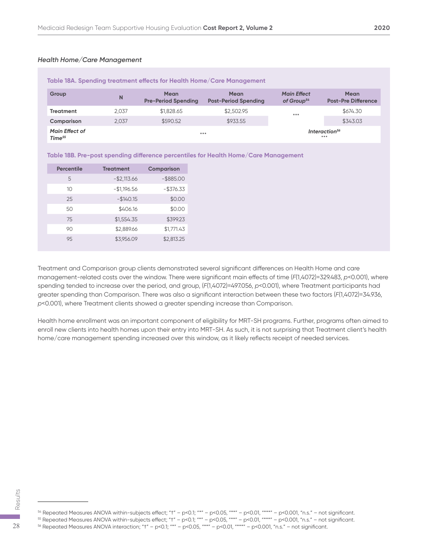| Table 18A. Spending treatment effects for Health Home/Care Management |       |                                           |                                            |                                              |                                           |  |
|-----------------------------------------------------------------------|-------|-------------------------------------------|--------------------------------------------|----------------------------------------------|-------------------------------------------|--|
| Group                                                                 | N     | <b>Mean</b><br><b>Pre-Period Spending</b> | <b>Mean</b><br><b>Post-Period Spending</b> | <b>Main Effect</b><br>of Group <sup>54</sup> | <b>Mean</b><br><b>Post-Pre Difference</b> |  |
| Treatment                                                             | 2.037 | \$1,828.65                                | \$2,502.95                                 | $***$                                        | \$674.30                                  |  |
| Comparison                                                            | 2.037 | \$590.52                                  | \$933.55                                   |                                              | \$343.03                                  |  |
| <b>Main Effect of</b><br>Time <sup>55</sup>                           |       | $***$                                     |                                            |                                              | Interaction <sup>56</sup><br>$* * * *$    |  |

#### **Table 18B. Pre-post spending difference percentiles for Health Home/Care Management**

| <b>Percentile</b> | <b>Treatment</b> | <b>Comparison</b> |
|-------------------|------------------|-------------------|
| 5                 | $-$ \$2,113.66   | $-$ \$885.00      |
| 10                | $-$1,196.56$     | $-$ \$376.33      |
| 25                | $-$140.15$       | \$0.00            |
| 50                | \$406.16         | \$0.00            |
| 75                | \$1,554.35       | \$399.23          |
| 90                | \$2,889.66       | \$1,771.43        |
| 95                | \$3,956.09       | \$2,813.25        |

Treatment and Comparison group clients demonstrated several significant differences on Health Home and care management-related costs over the window. There were significant main effects of time (*F*(1,4072)=329.483, *p*<0.001), where spending tended to increase over the period, and group,  $(F(1,4072)=497.056, p<0.001)$ , where Treatment participants had greater spending than Comparison. There was also a significant interaction between these two factors (*F*(1,4072)=34.936, *p*<0.001), where Treatment clients showed a greater spending increase than Comparison.

Health home enrollment was an important component of eligibility for MRT-SH programs. Further, programs often aimed to enroll new clients into health homes upon their entry into MRT-SH. As such, it is not surprising that Treatment client's health home/care management spending increased over this window, as it likely reflects receipt of needed services.

 $54$  Repeated Measures ANOVA within-subjects effect; "t" - p<0.1; "\*" - p<0.05, "\*\*" - p<0.01, "\*\*\*" - p<0.001, "n.s." - not significant.  $\frac{25}{56}$ <br>  $\frac{25}{100}$ <br>  $\frac{25}{100}$ <br>  $\frac{25}{100}$ <br>  $\frac{25}{100}$  Repeated Measures ANOVA within-subjects effect; "†" – p<0.1; "\*" – p<0.05, "\*\*" – p<0.01, "\*\*" – p<0.001, "n.s." – not significant.<br>  $\frac{28}{100}$  Repeate

 $^{55}$  Repeated Measures ANOVA within-subjects effect; "t" – p<0.1; "\*" – p<0.05, "\*\*" – p<0.01, "\*\*" – p<0.001, "n.s." – not significant.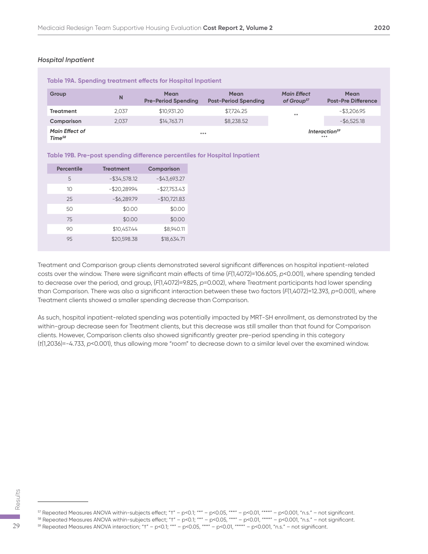#### *Hospital Inpatient*

| Table 19A. Spending treatment effects for Hospital Inpatient |       |                                           |                                            |                                              |                                           |  |
|--------------------------------------------------------------|-------|-------------------------------------------|--------------------------------------------|----------------------------------------------|-------------------------------------------|--|
| Group                                                        | N     | <b>Mean</b><br><b>Pre-Period Spending</b> | <b>Mean</b><br><b>Post-Period Spending</b> | <b>Main Effect</b><br>of Group <sup>57</sup> | <b>Mean</b><br><b>Post-Pre Difference</b> |  |
| <b>Treatment</b>                                             | 2.037 | \$10.931.20                               | \$7.724.25                                 | $***$                                        | $-$ \$3.206.95                            |  |
| Comparison                                                   | 2.037 | \$14,763.71                               | \$8,238.52                                 |                                              | $-$ \$6,525.18                            |  |
| <b>Main Effect of</b><br>Time <sup>58</sup>                  |       |                                           | $***$                                      |                                              | Interaction <sup>59</sup><br>$* * * *$    |  |

| Table 19B. Pre-post spending difference percentiles for Hospital Inpatient |  |  |  |  |  |  |
|----------------------------------------------------------------------------|--|--|--|--|--|--|
|----------------------------------------------------------------------------|--|--|--|--|--|--|

| <b>Percentile</b> | <b>Treatment</b> | <b>Comparison</b> |
|-------------------|------------------|-------------------|
| 5                 | $-$ \$34,578.12  | $-$43,693.27$     |
| 10                | $-$20,289.94$    | $-$27,753.43$     |
| 25                | $-$ \$6,289.79   | $-$10,721.83$     |
| 50                | \$0.00           | \$0.00            |
| 75                | \$0.00           | \$0.00            |
| 90                | \$10,457.44      | \$8,940.11        |
| 95                | \$20,598.38      | \$18,634.71       |

Treatment and Comparison group clients demonstrated several significant differences on hospital inpatient-related costs over the window. There were significant main effects of time (*F*(1,4072)=106.605, *p*<0.001), where spending tended to decrease over the period, and group, (*F*(1,4072)=9.825, *p*=0.002), where Treatment participants had lower spending than Comparison. There was also a significant interaction between these two factors (*F*(1,4072)=12.393, *p*=0.001), where Treatment clients showed a smaller spending decrease than Comparison.

As such, hospital inpatient-related spending was potentially impacted by MRT-SH enrollment, as demonstrated by the within-group decrease seen for Treatment clients, but this decrease was still smaller than that found for Comparison clients. However, Comparison clients also showed significantly greater pre-period spending in this category (*t*(1,2036)=-4.733, *p*<0.001), thus allowing more "room" to decrease down to a similar level over the examined window.

<sup>57</sup> Repeated Measures ANOVA within-subjects effect; "t" - p<0.1; "\*" - p<0.05, "\*\*" - p<0.01, "\*\*\*" - p<0.001, "n.s." - not significant.  $\frac{25}{59}$ <br>  $\frac{1}{20}$ <br>  $\frac{1}{20}$ <br>  $\frac{1}{20}$ <br>  $\frac{1}{20}$ <br>  $\frac{1}{20}$ <br>  $\frac{1}{20}$ <br>  $\frac{1}{20}$ <br>  $\frac{1}{20}$ <br>  $\frac{1}{20}$ <br>  $\frac{1}{20}$ <br>  $\frac{1}{20}$ <br>  $\frac{1}{20}$ <br>  $\frac{1}{20}$ <br>  $\frac{1}{20}$ <br>  $\frac{1}{20}$ <br>  $\frac{1}{20}$ <br>  $\frac{1}{20}$ <br>  $\frac{$ 

 $^{58}$  Repeated Measures ANOVA within-subjects effect; "t" – p<0.1; "\*" – p<0.05, "\*\*" – p<0.01, "\*\*" – p<0.001, "n.s." – not significant.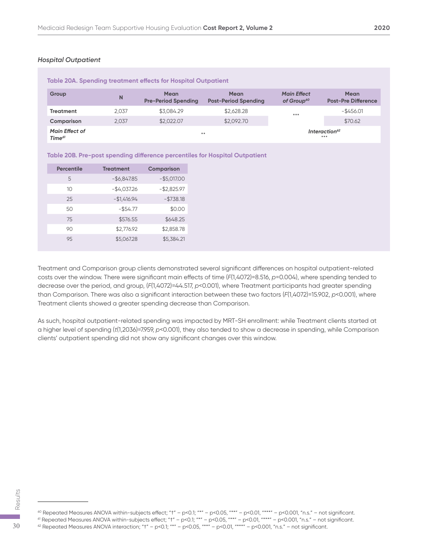#### *Hospital Outpatient*

| Table 20A. Spending treatment effects for Hospital Outpatient |       |                                    |                                     |                                              |                                           |  |
|---------------------------------------------------------------|-------|------------------------------------|-------------------------------------|----------------------------------------------|-------------------------------------------|--|
| Group                                                         | N     | Mean<br><b>Pre-Period Spending</b> | Mean<br><b>Post-Period Spending</b> | <b>Main Effect</b><br>of Group <sup>60</sup> | <b>Mean</b><br><b>Post-Pre Difference</b> |  |
| <b>Treatment</b>                                              | 2.037 | \$3,084.29                         | \$2,628.28                          | $***$                                        | $-$ \$456.01                              |  |
| Comparison                                                    | 2.037 | \$2,022,07                         | \$2,092.70                          |                                              | \$70.62                                   |  |
| <b>Main Effect of</b><br>Time <sup>61</sup>                   |       |                                    | $* *$                               |                                              | Interaction <sup>62</sup><br>$* * * *$    |  |

|  |  | Table 20B. Pre-post spending difference percentiles for Hospital Outpatient |  |
|--|--|-----------------------------------------------------------------------------|--|
|--|--|-----------------------------------------------------------------------------|--|

| <b>Percentile</b> | <b>Treatment</b> | <b>Comparison</b> |
|-------------------|------------------|-------------------|
| 5                 | $-$ \$6,847.85   | $-$ \$5,017.00    |
| 10                | $-$4,037.26$     | $-$ \$2,825.97    |
| 25                | $-$1,416.94$     | $- $738.18$       |
| 50                | $-$ \$54.77      | \$0.00            |
| 75                | \$576.55         | \$648.25          |
| 90                | \$2,776.92       | \$2,858.78        |
| 95                | \$5,067.28       | \$5,384.21        |

Treatment and Comparison group clients demonstrated several significant differences on hospital outpatient-related costs over the window. There were significant main effects of time (*F*(1,4072)=8.516, *p*=0.004), where spending tended to decrease over the period, and group, (*F*(1,4072)=44.517, *p*<0.001), where Treatment participants had greater spending than Comparison. There was also a significant interaction between these two factors (*F*(1,4072)=15.902, *p*<0.001), where Treatment clients showed a greater spending decrease than Comparison.

As such, hospital outpatient-related spending was impacted by MRT-SH enrollment: while Treatment clients started at a higher level of spending (*t*(1,2036)=7.959, *p*<0.001), they also tended to show a decrease in spending, while Comparison clients' outpatient spending did not show any significant changes over this window.

<sup>60</sup> Repeated Measures ANOVA within-subjects effect; "t" - p<0.1; "\*" - p<0.05, "\*\*\*" - p<0.01, "\*\*\*" - p<0.001, "n.s." - not significant.  $^{61}$  Repeated Measures ANOVA within-subjects effect; "t" – p<0.1; "\*" – p<0.05, "\*\*" – p<0.01, "\*\*\*" – p<0.001, "n.s." – not significant.  $\frac{25}{60}$ <br>  $\frac{1}{60}$ <br>  $\frac{1}{60}$ <br>  $\frac{1}{60}$ <br>  $\frac{1}{60}$ <br>  $\frac{1}{60}$ <br>  $\frac{1}{60}$ <br>  $\frac{1}{60}$ <br>  $\frac{1}{60}$ <br>  $\frac{1}{60}$ <br>  $\frac{1}{60}$ <br>  $\frac{1}{60}$ <br>  $\frac{1}{60}$ <br>  $\frac{1}{60}$ <br>  $\frac{1}{60}$ <br>  $\frac{1}{60}$ <br>  $\frac{1}{60}$ <br>  $\frac{1}{60}$ <br>  $\frac{$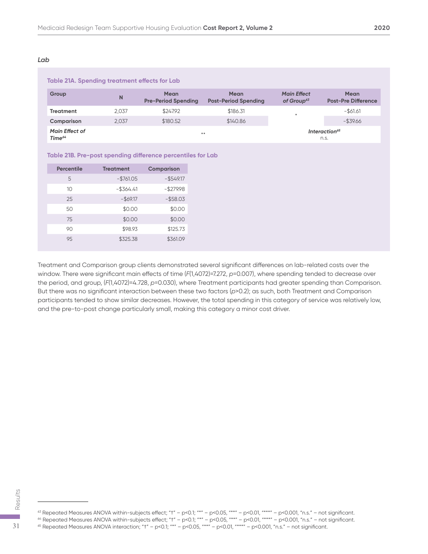#### *Lab*

| Table 21A. Spending treatment effects for Lab |       |                                    |                                            |                                              |                                           |  |
|-----------------------------------------------|-------|------------------------------------|--------------------------------------------|----------------------------------------------|-------------------------------------------|--|
| Group                                         | N     | Mean<br><b>Pre-Period Spending</b> | <b>Mean</b><br><b>Post-Period Spending</b> | <b>Main Effect</b><br>of Group <sup>63</sup> | <b>Mean</b><br><b>Post-Pre Difference</b> |  |
| <b>Treatment</b>                              | 2.037 | \$247.92                           | \$186.31                                   | ₩                                            | $-$ \$61.61                               |  |
| Comparison                                    | 2,037 | \$180.52                           | \$140.86                                   |                                              | $-$ \$39.66                               |  |
| <b>Main Effect of</b><br>Time <sup>64</sup>   |       | $* *$                              |                                            |                                              | Interaction <sup>65</sup><br>n.s.         |  |

#### **Table 21B. Pre-post spending difference percentiles for Lab**

| <b>Percentile</b> | <b>Treatment</b> | Comparison   |
|-------------------|------------------|--------------|
| 5                 | $-$ \$761.05     | $-$ \$549.17 |
| 10                | $-$ \$364.41     | $-$ \$279.98 |
| 25                | $-$ \$69.17      | $-$ \$58.03  |
| 50                | \$0.00           | \$0.00       |
| 75                | \$0.00           | \$0.00       |
| 90                | \$98.93          | \$125.73     |
| 95                | \$325.38         | \$361.09     |

Treatment and Comparison group clients demonstrated several significant differences on lab-related costs over the window. There were significant main effects of time (*F*(1,4072)=7.272, p=0.007), where spending tended to decrease over the period, and group, (*F*(1,4072)=4.728, *p*=0.030), where Treatment participants had greater spending than Comparison. But there was no significant interaction between these two factors (*p*>0.2); as such, both Treatment and Comparison participants tended to show similar decreases. However, the total spending in this category of service was relatively low, and the pre-to-post change particularly small, making this category a minor cost driver.

 $63$  Repeated Measures ANOVA within-subjects effect; "t" - p<0.1; "\*" - p<0.05, "\*\*" - p<0.01, "\*\*\*" - p<0.001, "n.s." - not significant.  $\frac{65}{60}$ <br>  $\frac{1}{60}$ <br>  $\frac{1}{60}$ <br>  $\frac{1}{60}$ <br>  $\frac{1}{60}$ <br>  $\frac{1}{60}$ <br>  $\frac{1}{60}$ <br>  $\frac{1}{60}$ <br>  $\frac{1}{60}$ <br>  $\frac{1}{60}$ <br>  $\frac{1}{60}$ <br>  $\frac{1}{60}$ <br>  $\frac{1}{60}$ <br>  $\frac{1}{60}$ <br>  $\frac{1}{60}$ <br>  $\frac{1}{60}$ <br>  $\frac{1}{60}$ <br>  $\frac{1}{60}$ <br>  $\frac{$ 

<sup>64</sup> Repeated Measures ANOVA within-subjects effect; "†" – p<0.1; "\*" – p<0.05, "\*\*" – p<0.01, "\*\*\*" – p<0.001, "n.s." – not significant.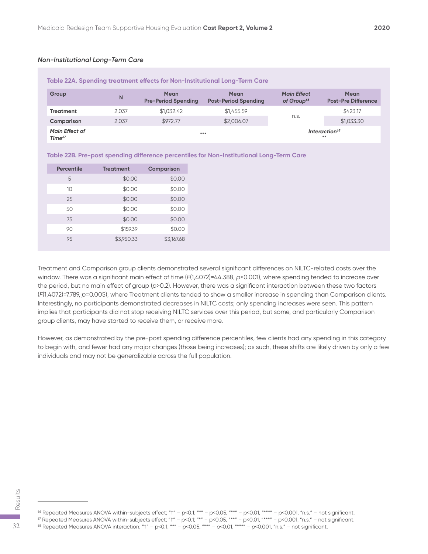#### *Non-Institutional Long-Term Care*

| Table 22A. Spending treatment effects for Non-Institutional Long-Term Care |       |                                           |                                            |                                              |                                           |  |
|----------------------------------------------------------------------------|-------|-------------------------------------------|--------------------------------------------|----------------------------------------------|-------------------------------------------|--|
| Group                                                                      | N     | <b>Mean</b><br><b>Pre-Period Spending</b> | <b>Mean</b><br><b>Post-Period Spending</b> | <b>Main Effect</b><br>of Group <sup>66</sup> | <b>Mean</b><br><b>Post-Pre Difference</b> |  |
| <b>Treatment</b>                                                           | 2.037 | \$1,032.42                                | \$1,455.59                                 |                                              | \$423.17                                  |  |
| Comparison                                                                 | 2.037 | \$972.77                                  | \$2,006.07                                 | n.s.                                         | \$1,033.30                                |  |
| <b>Main Effect of</b><br>Time <sup>67</sup>                                |       | $* * *$                                   |                                            |                                              | Interaction <sup>68</sup><br>$46 - 36$    |  |

#### **Table 22B. Pre-post spending difference percentiles for Non-Institutional Long-Term Care**

| Percentile | <b>Treatment</b> | Comparison |
|------------|------------------|------------|
| 5          | \$0.00           | \$0.00     |
| 10         | \$0.00           | \$0.00     |
| 25         | \$0.00           | \$0.00     |
| 50         | \$0.00           | \$0.00     |
| 75         | \$0.00           | \$0.00     |
| 90         | \$159.39         | \$0.00     |
| 95         | \$3,950.33       | \$3,167.68 |

Treatment and Comparison group clients demonstrated several significant differences on NILTC-related costs over the window. There was a significant main effect of time (*F*(1,4072)=44.388, *p*<0.001), where spending tended to increase over the period, but no main effect of group (*p*>0.2). However, there was a significant interaction between these two factors (*F*(1,4072)=7.789, *p*=0.005), where Treatment clients tended to show a smaller increase in spending than Comparison clients. Interestingly, no participants demonstrated decreases in NILTC costs; only spending increases were seen. This pattern implies that participants did not stop receiving NILTC services over this period, but some, and particularly Comparison group clients, may have started to receive them, or receive more.

However, as demonstrated by the pre-post spending difference percentiles, few clients had any spending in this category to begin with, and fewer had any major changes (those being increases); as such, these shifts are likely driven by only a few individuals and may not be generalizable across the full population.

 $66$  Repeated Measures ANOVA within-subjects effect; "t" - p<0.1; "\*" - p<0.05, "\*\*" - p<0.01, "\*\*"" - p<0.001, "n.s." - not significant.  $\frac{68}{68}$ <br>  $\frac{68}{68}$ <br>  $\frac{68}{68}$ <br>  $\frac{68}{68}$ <br>  $\frac{68}{68}$ <br>  $\frac{68}{68}$ <br>  $\frac{68}{68}$ <br>  $\frac{68}{68}$ <br>  $\frac{68}{68}$ <br>  $\frac{68}{68}$ <br>  $\frac{68}{68}$ <br>  $\frac{68}{68}$ <br>  $\frac{68}{68}$ <br>  $\frac{68}{68}$ <br>  $\frac{68}{68}$ <br>  $\frac{68}{68}$ <br>  $\frac{68}{68}$ <br>

 $^{67}$  Repeated Measures ANOVA within-subjects effect; "t" – p<0.1; "\*" – p<0.05, "\*\*" – p<0.01, "\*\*" – p<0.001, "n.s." – not significant.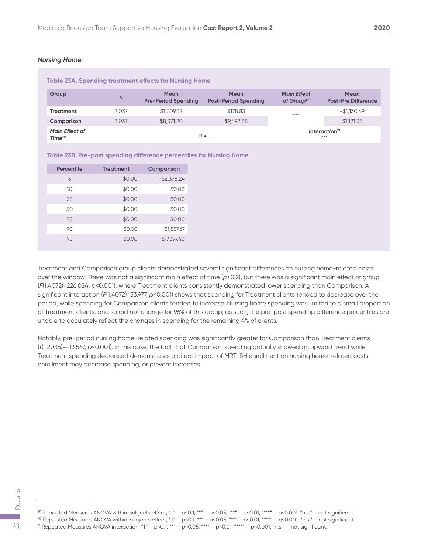#### *Nursing Home*

| Table 23A. Spending treatment effects for Nursing Home |       |                                           |                                            |                                              |                                           |  |
|--------------------------------------------------------|-------|-------------------------------------------|--------------------------------------------|----------------------------------------------|-------------------------------------------|--|
| Group                                                  | N     | <b>Mean</b><br><b>Pre-Period Spending</b> | <b>Mean</b><br><b>Post-Period Spending</b> | <b>Main Effect</b><br>of Group <sup>69</sup> | <b>Mean</b><br><b>Post-Pre Difference</b> |  |
| <b>Treatment</b>                                       | 2.037 | \$1,309.32                                | \$178.83                                   | $***$                                        | $-$1.130.49$                              |  |
| Comparison                                             | 2.037 | \$8,371,20                                | \$9,492.55                                 |                                              | \$1,121.35                                |  |
| <b>Main Effect of</b><br>Time <sup>70</sup>            |       |                                           | n.s.                                       |                                              | Interaction <sup>71</sup><br>***          |  |

#### **Table 23B. Pre-post spending difference percentiles for Nursing Home**

| <b>Percentile</b> | <b>Treatment</b> | <b>Comparison</b> |
|-------------------|------------------|-------------------|
| 5                 | \$0.00           | $-$ \$2,378.24    |
| 10                | \$0.00           | \$0.00            |
| 25                | \$0.00           | \$0.00            |
| 50                | \$0.00           | \$0.00            |
| 75                | \$0.00           | \$0.00            |
| 90                | \$0.00           | \$1,857.67        |
| 95                | \$0.00           | \$17,397.40       |

Treatment and Comparison group clients demonstrated several significant differences on nursing home-related costs over the window. There was not a significant main effect of time (*p*>0.2), but there was a significant main effect of group (*F*(1,4072)=226.024, *p*<0.001), where Treatment clients consistently demonstrated lower spending than Comparison. A significant interaction (*F*(1,4072)=33.977, *p*<0.001) shows that spending for Treatment clients tended to decrease over the period, while spending for Comparison clients tended to increase. Nursing home spending was limited to a small proportion of Treatment clients, and so did not change for 96% of this group; as such, the pre-post spending difference percentiles are unable to accurately reflect the changes in spending for the remaining 4% of clients.

Notably, pre-period nursing home-related spending was significantly greater for Comparison than Treatment clients (*t*(1,2036)=-13.567, *p*<0.001). In this case, the fact that Comparison spending actually showed an upward trend while Treatment spending decreased demonstrates a direct impact of MRT-SH enrollment on nursing home-related costs: enrollment may decrease spending, or prevent increases.

 $\%$  Repeated Measures ANOVA within-subjects effect; "t" - p<0.1; "\*" - p<0.05, "\*\*" - p<0.01, "\*\*"" - p<0.001, "n.s." - not significant.  $\frac{25}{50}$ <br>  $\frac{25}{25}$ <br>  $\frac{25}{25}$ <br>  $\frac{25}{25}$ <br>  $\frac{25}{25}$ <br>  $\frac{25}{25}$ <br>  $\frac{25}{25}$ <br>  $\frac{25}{25}$ <br>  $\frac{25}{25}$ <br>  $\frac{25}{25}$ <br>  $\frac{25}{25}$ <br>  $\frac{25}{25}$ <br>  $\frac{25}{25}$ <br>  $\frac{25}{25}$ <br>  $\frac{25}{25}$ <br>  $\frac{25}{25}$ <br>  $\frac{25}{25}$ <br>

 $^{70}$  Repeated Measures ANOVA within-subjects effect; "t" – p<0.1; "\*" – p<0.05, "\*\*" – p<0.01, "\*\*" – p<0.001, "n.s." – not significant.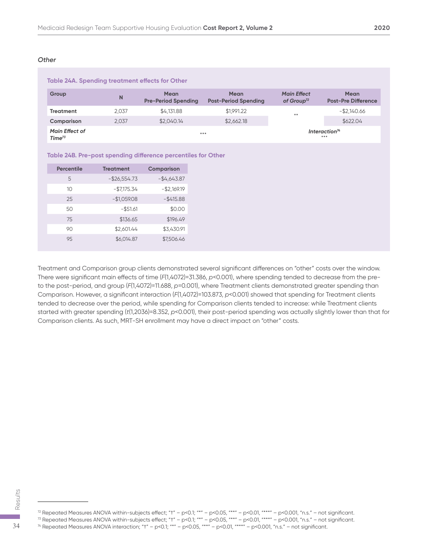#### *Other*

| Table 24A. Spending treatment effects for Other |       |                                           |                                            |                                              |                                           |  |
|-------------------------------------------------|-------|-------------------------------------------|--------------------------------------------|----------------------------------------------|-------------------------------------------|--|
| Group                                           | N     | <b>Mean</b><br><b>Pre-Period Spending</b> | <b>Mean</b><br><b>Post-Period Spending</b> | <b>Main Effect</b><br>of Group <sup>72</sup> | <b>Mean</b><br><b>Post-Pre Difference</b> |  |
| Treatment                                       | 2.037 | \$4,131.88                                | \$1,991.22                                 | $***$                                        | $-$ \$2,140.66                            |  |
| Comparison                                      | 2.037 | \$2,040.14                                | \$2,662.18                                 |                                              | \$622.04                                  |  |
| <b>Main Effect of</b><br>Time <sup>73</sup>     |       | $***$                                     |                                            |                                              | Interaction <sup>74</sup><br>***          |  |

#### **Table 24B. Pre-post spending difference percentiles for Other**

| <b>Percentile</b> | <b>Treatment</b> | <b>Comparison</b> |
|-------------------|------------------|-------------------|
| 5                 | $-$26,554.73$    | $-$4,643.87$      |
| 10                | $-$7,175.34$     | $-$ \$2,169.19    |
| 25                | $-$1,059.08$     | $-$ \$415.88      |
| 50                | $-$ \$51.61      | \$0.00            |
| 75                | \$136.65         | \$196.49          |
| 90                | \$2,601.44       | \$3,430.91        |
| 9.5               | \$6,014.87       | \$7,506.46        |

Treatment and Comparison group clients demonstrated several significant differences on "other" costs over the window. There were significant main effects of time (*F*(1,4072)=31.386, *p*<0.001), where spending tended to decrease from the preto the post-period, and group (*F*(1,4072)=11.688, *p*=0.001), where Treatment clients demonstrated greater spending than Comparison. However, a significant interaction (*F*(1,4072)=103.873, *p*<0.001) showed that spending for Treatment clients tended to decrease over the period, while spending for Comparison clients tended to increase: while Treatment clients started with greater spending (*t*(1,2036)=8.352, *p*<0.001), their post-period spending was actually slightly lower than that for Comparison clients. As such, MRT-SH enrollment may have a direct impact on "other" costs.

<sup>72</sup> Repeated Measures ANOVA within-subjects effect; "t" - p<0.1; "\*" - p<0.05, "\*\*" - p<0.01, "\*\*\*" - p<0.001, "n.s." - not significant.  $\frac{22}{100}$ <br>  $\frac{22}{100}$ <br>  $\frac{22}{100}$ <br>  $\frac{22}{100}$ <br>  $\frac{22}{100}$ <br>  $\frac{22}{100}$ <br>  $\frac{22}{100}$ <br>  $\frac{22}{100}$ <br>  $\frac{22}{100}$ <br>  $\frac{22}{100}$ <br>  $\frac{22}{100}$ <br>  $\frac{22}{100}$ <br>  $\frac{22}{100}$ <br>  $\frac{22}{100}$ <br>  $\frac{22}{100}$ <br>  $\frac{22}{100}$ 

 $^{73}$  Repeated Measures ANOVA within-subjects effect; "t" – p<0.1; "\*" – p<0.05, "\*\*" – p<0.01, "\*\*" – p<0.001, "n.s." – not significant.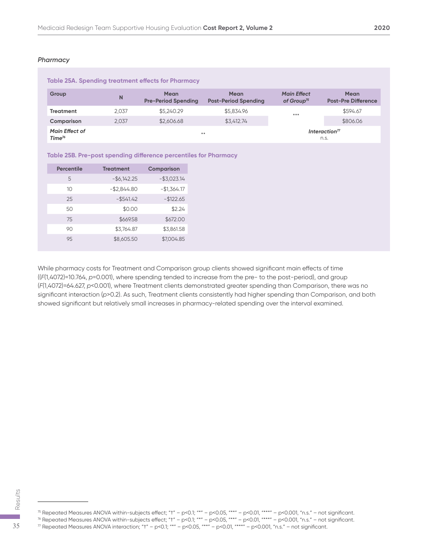#### *Pharmacy*

| Table 25A. Spending treatment effects for Pharmacy |       |                                           |                                     |                                              |                                           |  |
|----------------------------------------------------|-------|-------------------------------------------|-------------------------------------|----------------------------------------------|-------------------------------------------|--|
| Group                                              | N     | <b>Mean</b><br><b>Pre-Period Spending</b> | Mean<br><b>Post-Period Spending</b> | <b>Main Effect</b><br>of Group <sup>75</sup> | <b>Mean</b><br><b>Post-Pre Difference</b> |  |
| <b>Treatment</b>                                   | 2.037 | \$5,240.29                                | \$5,834.96                          | $***$                                        | \$594.67                                  |  |
| Comparison                                         | 2.037 | \$2,606.68                                | \$3,412.74                          |                                              | \$806.06                                  |  |
| <b>Main Effect of</b><br>Time <sup>76</sup>        |       | $* *$                                     |                                     |                                              | Interaction <sup>77</sup><br>n.s.         |  |

#### **Table 25B. Pre-post spending difference percentiles for Pharmacy**

| Percentile | <b>Treatment</b> | <b>Comparison</b> |
|------------|------------------|-------------------|
| 5          | $-$ \$6,142.25   | $-$ \$3,023.14    |
| 10         | $-$ \$2,844.80   | $-$1,364.17$      |
| 25         | $-$ \$541.42     | $-$ \$122.65      |
| 50         | \$0.00           | \$2.24            |
| 75         | \$669.58         | \$672.00          |
| 90         | \$3,764.87       | \$3,861.58        |
| 95         | \$8,605.50       | \$7,004.85        |

While pharmacy costs for Treatment and Comparison group clients showed significant main effects of time ((*F*(1,4072)=10.764, *p*=0.001), where spending tended to increase from the pre- to the post-period), and group (*F*(1,4072)=64.627, *p*<0.001), where Treatment clients demonstrated greater spending than Comparison, there was no significant interaction (*p*>0.2). As such, Treatment clients consistently had higher spending than Comparison, and both showed significant but relatively small increases in pharmacy-related spending over the interval examined.

<sup>&</sup>lt;sup>75</sup> Repeated Measures ANOVA within-subjects effect; "t" - p<0.1; "\*" - p<0.05, "\*\*" - p<0.01, "\*\*\*" - p<0.001, "n.s." - not significant.  $\frac{25}{50}$ <br>  $\frac{1}{20}$ <br>
<sup>75</sup> Repeated Measures ANOVA within-subjects effect; "t" – p<0.1; "\*" – p<0.05, "\*\*" – p<0.01, "\*\*" – p<0.001, "n.s." – not significant.<br>
<sup>76</sup> Repeated Measures ANOVA within-subjects effect; "t" –

 $^{76}$  Repeated Measures ANOVA within-subjects effect; "t" – p<0.1; "\*" – p<0.05, "\*\*" – p<0.01, "\*\*" – p<0.001, "n.s." – not significant.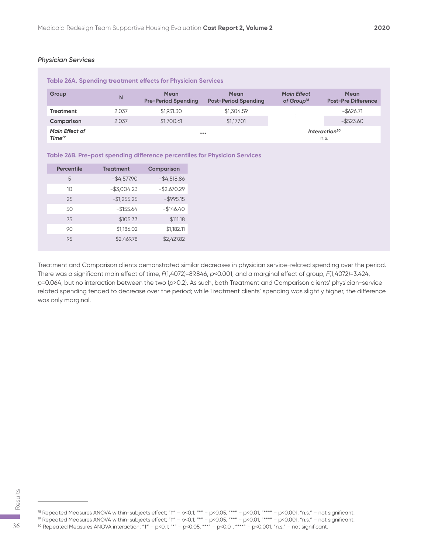| Table 26A. Spending treatment effects for Physician Services |       |                                           |                                            |                                              |                                    |  |
|--------------------------------------------------------------|-------|-------------------------------------------|--------------------------------------------|----------------------------------------------|------------------------------------|--|
| Group                                                        | N     | <b>Mean</b><br><b>Pre-Period Spending</b> | <b>Mean</b><br><b>Post-Period Spending</b> | <b>Main Effect</b><br>of Group <sup>78</sup> | Mean<br><b>Post-Pre Difference</b> |  |
| <b>Treatment</b>                                             | 2.037 | \$1,931,30                                | \$1,304.59                                 |                                              | $-$ \$626.71                       |  |
| Comparison                                                   | 2.037 | \$1,700.61                                | \$1,177,01                                 |                                              | $-$ \$523.60                       |  |
| <b>Main Effect of</b><br>Time <sup>79</sup>                  |       | $***$                                     |                                            |                                              | Interaction <sup>80</sup><br>n.s.  |  |

| Table 26B. Pre-post spending difference percentiles for Physician Services |  |  |  |  |  |
|----------------------------------------------------------------------------|--|--|--|--|--|
|----------------------------------------------------------------------------|--|--|--|--|--|

| <b>Percentile</b> | <b>Treatment</b> | <b>Comparison</b> |
|-------------------|------------------|-------------------|
| 5                 | $-$4,577.90$     | $-$ \$4,518.86    |
| 10                | $-$3,004.23$     | $-$2,670.29$      |
| 25                | $-$1,255.25$     | $-$ \$995.15      |
| 50                | $-$ \$155.64     | $-1146.40$        |
| 75                | \$105.33         | \$111.18          |
| 90                | \$1,186.02       | \$1,182.11        |
| 9.5               | \$2,469.78       | \$2,427.82        |

Treatment and Comparison clients demonstrated similar decreases in physician service-related spending over the period. There was a significant main effect of time, *F*(1,4072)=89.846, *p*<0.001, and a marginal effect of group, *F*(1,4072)=3.424, *p*=0.064, but no interaction between the two (*p*>0.2). As such, both Treatment and Comparison clients' physician-service related spending tended to decrease over the period; while Treatment clients' spending was slightly higher, the difference was only marginal.

 $^{79}$  Repeated Measures ANOVA within-subjects effect; "t" – p<0.1; "\*" – p<0.05, "\*\*" – p<0.01, "\*\*\*" – p<0.001, "n.s." – not significant.  $\frac{25}{60}$ <br>
<sup>78</sup> Repeated Measures ANOVA within-subjects effect; "†" − p<0.1; "\*" − p<0.05, "\*\*" − p<0.01, "\*\*" − p<0.001, "n.s." – not s<sup>79</sup> Repeated Measures ANOVA within-subjects effect; "†" − p<0.1; "\*" − p<0.05, "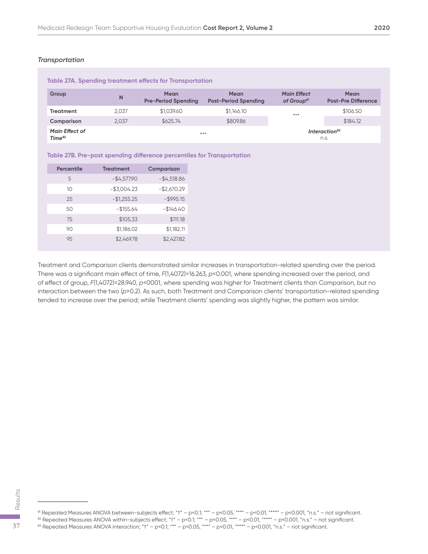#### *Transportation*

| Table 27A. Spending treatment effects for Transportation |       |                                           |                                            |                                              |                                           |  |
|----------------------------------------------------------|-------|-------------------------------------------|--------------------------------------------|----------------------------------------------|-------------------------------------------|--|
| Group                                                    | N     | <b>Mean</b><br><b>Pre-Period Spending</b> | <b>Mean</b><br><b>Post-Period Spending</b> | <b>Main Effect</b><br>of Group <sup>81</sup> | <b>Mean</b><br><b>Post-Pre Difference</b> |  |
| <b>Treatment</b>                                         | 2.037 | \$1,039.60                                | \$1,146,10                                 | $***$                                        | \$106.50                                  |  |
| Comparison                                               | 2.037 | \$625.74                                  | \$809.86                                   |                                              | \$184.12                                  |  |
| <b>Main Effect of</b><br>Time <sup>82</sup>              |       |                                           | $***$                                      |                                              | Interaction <sup>83</sup><br>n.s.         |  |

|  |  |  |  | Table 27B. Pre-post spending difference percentiles for Transportation |
|--|--|--|--|------------------------------------------------------------------------|
|--|--|--|--|------------------------------------------------------------------------|

| <b>Percentile</b> | <b>Treatment</b> | Comparison     |
|-------------------|------------------|----------------|
| 5                 | $-$4,577.90$     | $-$ \$4,518.86 |
| 10                | $-$3,004.23$     | $-$2,670.29$   |
| 25                | $-$1,255.25$     | $-$ \$995.15   |
| 50                | $-$ \$155.64     | $-1146.40$     |
| 75                | \$105.33         | \$111.18       |
| 90                | \$1,186.02       | \$1,182.11     |
| 9.5               | \$2,469.78       | \$2,427.82     |

Treatment and Comparison clients demonstrated similar increases in transportation-related spending over the period. There was a significant main effect of time, *F*(1,4072)=16.263, *p*<0.001, where spending increased over the period, and of effect of group, *F*(1,4072)=28.940, *p*<0001, where spending was higher for Treatment clients than Comparison, but no interaction between the two (*p*>0.2). As such, both Treatment and Comparison clients' transportation-related spending tended to increase over the period; while Treatment clients' spending was slightly higher, the pattern was similar.

81 Repeated Measures ANOVA between-subjects effect; "†" – p<0.1; "\*" – p<0.05, "\*\*" – p<0.01, "\*\*\*" – p<0.001, "n.s." – not significant.  $\frac{25}{37}$ <br>
<sup>81</sup> Repeated Measures ANOVA between-subjects effect; "†" – p<0.1; "\*" – p<0.05, "\*\*" – p<0.01, "\*\*" – p<0.001, "n.s." – not significant.<br>
<sup>82</sup> Repeated Measures ANOVA within-subjects effect; "†" – p<0.1; "\*"

 $^{82}$  Repeated Measures ANOVA within-subjects effect; "t" – p<0.1; "\*" – p<0.05, "\*\*" – p<0.01, "\*\*" – p<0.001, "n.s." – not significant.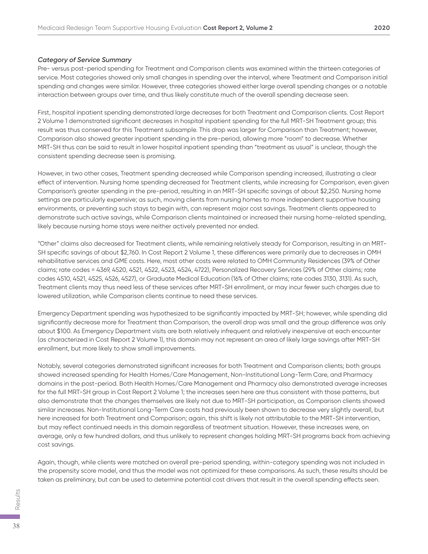#### *Category of Service Summary*

Pre- versus post-period spending for Treatment and Comparison clients was examined within the thirteen categories of service. Most categories showed only small changes in spending over the interval, where Treatment and Comparison initial spending and changes were similar. However, three categories showed either large overall spending changes or a notable interaction between groups over time, and thus likely constitute much of the overall spending decrease seen.

First, hospital inpatient spending demonstrated large decreases for both Treatment and Comparison clients. Cost Report 2 Volume 1 demonstrated significant decreases in hospital inpatient spending for the full MRT-SH Treatment group; this result was thus conserved for this Treatment subsample. This drop was larger for Comparison than Treatment; however, Comparison also showed greater inpatient spending in the pre-period, allowing more "room" to decrease. Whether MRT-SH thus can be said to result in lower hospital inpatient spending than "treatment as usual" is unclear, though the consistent spending decrease seen is promising.

However, in two other cases, Treatment spending decreased while Comparison spending increased, illustrating a clear effect of intervention. Nursing home spending decreased for Treatment clients, while increasing for Comparison, even given Comparison's greater spending in the pre-period, resulting in an MRT-SH specific savings of about \$2,250. Nursing home settings are particularly expensive; as such, moving clients from nursing homes to more independent supportive housing environments, or preventing such stays to begin with, can represent major cost savings. Treatment clients appeared to demonstrate such active savings, while Comparison clients maintained or increased their nursing home-related spending, likely because nursing home stays were neither actively prevented nor ended.

"Other" claims also decreased for Treatment clients, while remaining relatively steady for Comparison, resulting in an MRT-SH specific savings of about \$2,760. In Cost Report 2 Volume 1, these differences were primarily due to decreases in OMH rehabilitative services and GME costs. Here, most other costs were related to OMH Community Residences (39% of Other claims; rate codes = 4369, 4520, 4521, 4522, 4523, 4524, 4722), Personalized Recovery Services (29% of Other claims; rate codes 4510, 4521, 4525, 4526, 4527), or Graduate Medical Education (16% of Other claims; rate codes 3130, 3131). As such, Treatment clients may thus need less of these services after MRT-SH enrollment, or may incur fewer such charges due to lowered utilization, while Comparison clients continue to need these services.

Emergency Department spending was hypothesized to be significantly impacted by MRT-SH; however, while spending did significantly decrease more for Treatment than Comparison, the overall drop was small and the group difference was only about \$100. As Emergency Department visits are both relatively infrequent and relatively inexpensive at each encounter (as characterized in Cost Report 2 Volume 1), this domain may not represent an area of likely large savings after MRT-SH enrollment, but more likely to show small improvements.

Notably, several categories demonstrated significant increases for both Treatment and Comparison clients; both groups showed increased spending for Health Homes/Care Management, Non-Institutional Long-Term Care, and Pharmacy domains in the post-period. Both Health Homes/Care Management and Pharmacy also demonstrated average increases for the full MRT-SH group in Cost Report 2 Volume 1; the increases seen here are thus consistent with those patterns, but also demonstrate that the changes themselves are likely not due to MRT-SH participation, as Comparison clients showed similar increases. Non-Institutional Long-Term Care costs had previously been shown to decrease very slightly overall, but here increased for both Treatment and Comparison; again, this shift is likely not attributable to the MRT-SH intervention, but may reflect continued needs in this domain regardless of treatment situation. However, these increases were, on average, only a few hundred dollars, and thus unlikely to represent changes holding MRT-SH programs back from achieving cost savings.

Again, though, while clients were matched on overall pre-period spending, within-category spending was not included in the propensity score model, and thus the model was not optimized for these comparisons. As such, these results should be taken as preliminary, but can be used to determine potential cost drivers that result in the overall spending effects seen.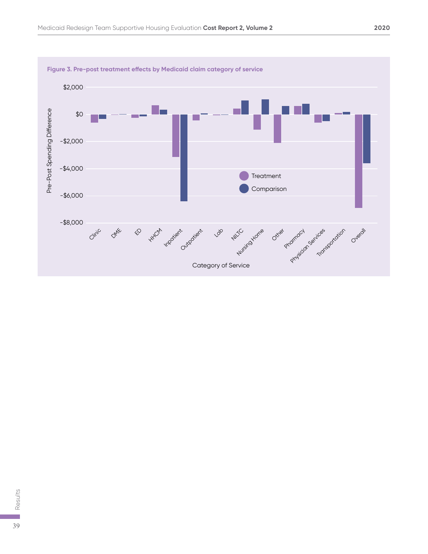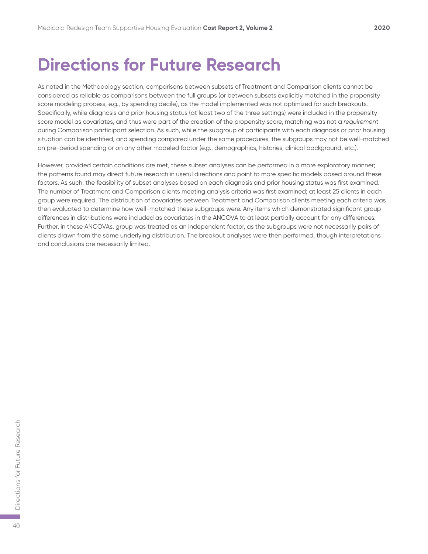### **Directions for Future Research**

As noted in the Methodology section, comparisons between subsets of Treatment and Comparison clients cannot be considered as reliable as comparisons between the full groups (or between subsets explicitly matched in the propensity score modeling process, e.g., by spending decile), as the model implemented was not optimized for such breakouts. Specifically, while diagnosis and prior housing status (at least two of the three settings) were included in the propensity score model as covariates, and thus were part of the creation of the propensity score, matching was not a *requirement* during Comparison participant selection. As such, while the subgroup of participants with each diagnosis or prior housing situation can be identified, and spending compared under the same procedures, the subgroups may not be well-matched on pre-period spending or on any other modeled factor (e.g., demographics, histories, clinical background, etc.).

However, provided certain conditions are met, these subset analyses can be performed in a more exploratory manner; the patterns found may direct future research in useful directions and point to more specific models based around these factors. As such, the feasibility of subset analyses based on each diagnosis and prior housing status was first examined. The number of Treatment and Comparison clients meeting analysis criteria was first examined; at least 25 clients in each group were required. The distribution of covariates between Treatment and Comparison clients meeting each criteria was then evaluated to determine how well-matched these subgroups were. Any items which demonstrated significant group differences in distributions were included as covariates in the ANCOVA to at least partially account for any differences. Further, in these ANCOVAs, group was treated as an independent factor, as the subgroups were not necessarily pairs of clients drawn from the same underlying distribution. The breakout analyses were then performed, though interpretations and conclusions are necessarily limited.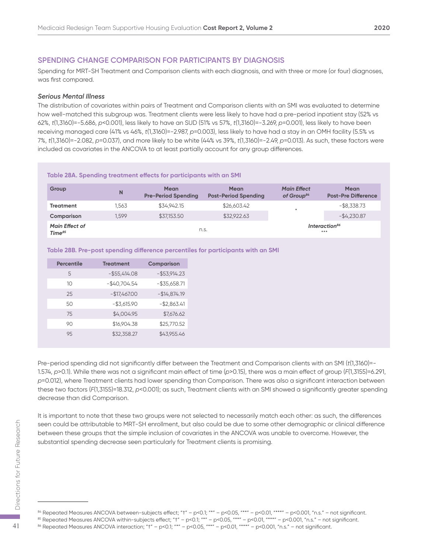#### **SPENDING CHANGE COMPARISON FOR PARTICIPANTS BY DIAGNOSIS**

Spending for MRT-SH Treatment and Comparison clients with each diagnosis, and with three or more (or four) diagnoses, was first compared.

#### *Serious Mental Illness*

The distribution of covariates within pairs of Treatment and Comparison clients with an SMI was evaluated to determine how well-matched this subgroup was. Treatment clients were less likely to have had a pre-period inpatient stay (52% vs 62%, *t*(1,3160)=-5.686, *p*<0.001), less likely to have an SUD (51% vs 57%, *t*(1,3160)=-3.269, *p*=0.001), less likely to have been receiving managed care (41% vs 46%, *t*(1,3160)=-2.987, *p*=0.003), less likely to have had a stay in an OMH facility (5.5% vs 7%, *t*(1,3160)=-2.082, *p*=0.037), and more likely to be white (44% vs 39%, *t*(1,3160)=-2.49, *p*=0.013). As such, these factors were included as covariates in the ANCOVA to at least partially account for any group differences.

#### **Table 28A. Spending treatment effects for participants with an SMI**

| Group                                       | N     | <b>Mean</b><br><b>Pre-Period Spending</b> | <b>Mean</b><br><b>Post-Period Spending</b> | <b>Main Effect</b><br>of Group <sup>84</sup> | Mean<br><b>Post-Pre Difference</b> |
|---------------------------------------------|-------|-------------------------------------------|--------------------------------------------|----------------------------------------------|------------------------------------|
| <b>Treatment</b>                            | 1.563 | \$34,942.15                               | \$26,603.42                                | ₩                                            | $-$ \$8,338.73                     |
| Comparison                                  | 1.599 | \$37,153.50                               | \$32,922.63                                |                                              | $-$ \$4,230.87                     |
| <b>Main Effect of</b><br>Time <sup>85</sup> |       | n.s.                                      |                                            |                                              | Interaction <sup>86</sup><br>***   |

#### **Table 28B. Pre-post spending difference percentiles for participants with an SMI**

| <b>Percentile</b> | <b>Treatment</b> | Comparison      |
|-------------------|------------------|-----------------|
| 5                 | $-$ \$55,414.08  | $-$ \$53,914.23 |
| 10                | $-$40,704.54$    | $-$ \$35,658.71 |
| 25                | $-$17,467.00$    | $-$14,874.19$   |
| 50                | $- $3,615.90$    | $-$ \$2,863.41  |
| 75                | \$4,004.95       | \$7,676.62      |
| 90                | \$16,904.38      | \$25,770.52     |
| 9.5               | \$32,358.27      | \$43,955.46     |

Pre-period spending did not significantly differ between the Treatment and Comparison clients with an SMI (*t*(1,3160)=- 1.574, *p*>0.1). While there was not a significant main effect of time (*p*>0.15), there was a main effect of group (*F*(1,3155)=6.291, *p*=0.012), where Treatment clients had lower spending than Comparison. There was also a significant interaction between these two factors (*F*(1,3155)=18.312, *p*<0.001); as such, Treatment clients with an SMI showed a significantly greater spending decrease than did Comparison.

It is important to note that these two groups were not selected to necessarily match each other: as such, the differences seen could be attributable to MRT-SH enrollment, but also could be due to some other demographic or clinical difference between these groups that the simple inclusion of covariates in the ANCOVA was unable to overcome. However, the substantial spending decrease seen particularly for Treatment clients is promising. seen could be attributable to MRT-SH enrollment, but also could be due to some other demographic or<br>
between these groups that the simple inclusion of covariates in the ANCOVA was unable to overcome. H<br>
substantial spendin

 $84$  Repeated Measures ANCOVA between-subjects effect; "t" – p<0.1; "\*" – p<0.05, "\*\*" – p<0.01, "\*\*\*" – p<0.001, "n.s." – not significant.

<sup>&</sup>lt;sup>85</sup> Repeated Measures ANCOVA within-subjects effect; "t" – p<0.1; "\*" – p<0.05, "\*\*" – p<0.01, "\*\*\*" – p<0.001, "n.s." – not significant.<br><sup>86</sup> Repeated Measures ANCOVA interaction; "t" – p<0.1; "\*" – p<0.05, "\*\*" – p<0.0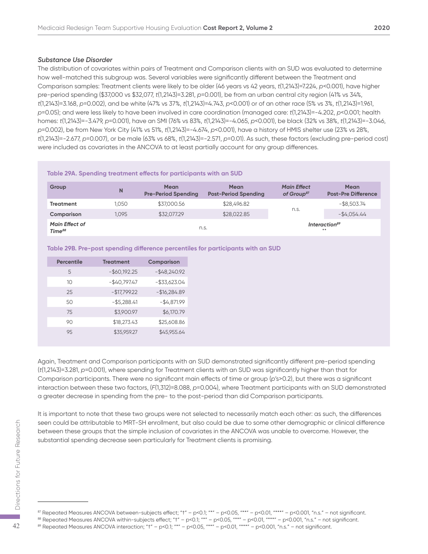#### *Substance Use Disorder*

The distribution of covariates within pairs of Treatment and Comparison clients with an SUD was evaluated to determine how well-matched this subgroup was. Several variables were significantly different between the Treatment and Comparison samples: Treatment clients were likely to be older (46 years vs 42 years, *t*(1,2143)=7.224, *p*<0.001), have higher pre-period spending (\$37,000 vs \$32,077, *t*(1,2143)=3.281, *p*=0.001), be from an urban central city region (41% vs 34%, *t*(1,2143)=3.168, *p*=0.002), and be white (47% vs 37%, *t*(1,2143)=4.743, *p*<0.001) or of an other race (5% vs 3%, *t*(1,2143)=1.961, *p*=0.05); and were less likely to have been involved in care coordination (managed care: *t*(1,2143)=-4.202, *p*<0.001; health homes: *t*(1,2143)=-3.479, *p*=0.001), have an SMI (76% vs 83%, *t*(1,2143)=-4.065, *p*<0.001), be black (32% vs 38%, *t*(1,2143)=-3.046, *p*=0.002), be from New York City (41% vs 51%, *t*(1,2143)=-4.674, *p*<0.001), have a history of HMIS shelter use (23% vs 28%, *t*(1,2143)=-2.677, *p*=0.007), or be male (63% vs 68%, *t*(1,2143)=-2.571, *p*=0.01). As such, these factors (excluding pre-period cost) were included as covariates in the ANCOVA to at least partially account for any group differences.

#### **Table 29A. Spending treatment effects for participants with an SUD**

| Group                                       | N     | <b>Mean</b><br><b>Pre-Period Spending</b> | <b>Mean</b><br><b>Post-Period Spending</b> | <b>Main Effect</b><br>of Group <sup>87</sup> | <b>Mean</b><br><b>Post-Pre Difference</b> |
|---------------------------------------------|-------|-------------------------------------------|--------------------------------------------|----------------------------------------------|-------------------------------------------|
| <b>Treatment</b>                            | 1.050 | \$37,000.56                               | \$28,496.82                                |                                              | $-$ \$8,503.74                            |
| Comparison                                  | 1.095 | \$32,077.29                               | \$28,022.85                                | n.s.                                         | $-$ \$4,054.44                            |
| <b>Main Effect of</b><br>Time <sup>88</sup> |       | n.s.                                      |                                            |                                              | Interaction <sup>89</sup><br>**           |

#### **Table 29B. Pre-post spending difference percentiles for participants with an SUD**

| Percentile | <b>Treatment</b> | Comparison      |
|------------|------------------|-----------------|
| 5          | $-$ \$60,192.25  | $-$ \$48,240.92 |
| 10         | $-$40,797.47$    | $-$ \$33,623.04 |
| 25         | $-$17,799.22$    | $-$16,284.89$   |
| 50         | $-$ \$5,288.41   | $-$4,871.99$    |
| 75         | \$3,900.97       | \$6,170.79      |
| 90         | \$18,273.43      | \$25,608.86     |
| 95         | \$35,959.27      | \$45,955.64     |

Again, Treatment and Comparison participants with an SUD demonstrated significantly different pre-period spending (*t*(1,2143)=3.281, *p*=0.001), where spending for Treatment clients with an SUD was significantly higher than that for Comparison participants. There were no significant main effects of time or group (*p*'s>0.2), but there was a significant interaction between these two factors, (*F*(1,312)=8.088, *p*=0.004), where Treatment participants with an SUD demonstrated a greater decrease in spending from the pre- to the post-period than did Comparison participants.

It is important to note that these two groups were not selected to necessarily match each other: as such, the differences seen could be attributable to MRT-SH enrollment, but also could be due to some other demographic or clinical difference between these groups that the simple inclusion of covariates in the ANCOVA was unable to overcome. However, the substantial spending decrease seen particularly for Treatment clients is promising. seen could be attributable to MRT-SH enrollment, but also could be due to some other demographic or<br>
between these groups that the simple inclusion of covariates in the ANCOVA was unable to overcome. If<br>
substantial spendi

 $87$  Repeated Measures ANCOVA between-subjects effect; "t" – p<0.1; "\*" – p<0.05, "\*\*" – p<0.01, "\*\*\*" – p<0.001, "n.s." – not significant.

<sup>&</sup>lt;sup>88</sup> Repeated Measures ANCOVA within-subjects effect; "t" – p<0.1; "\*" – p<0.05, "\*\*" – p<0.01, "\*\*\*" – p<0.001, "n.s." – not significant.<br><sup>89</sup> Repeated Measures ANCOVA interaction; "t" – p<0.1; "\*" – p<0.05, "\*\*" – p<0.0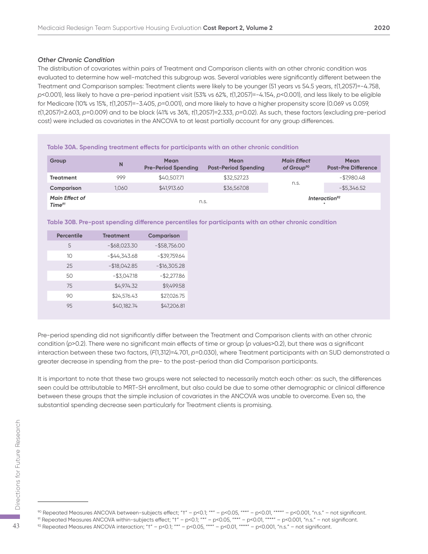The distribution of covariates within pairs of Treatment and Comparison clients with an other chronic condition was evaluated to determine how well-matched this subgroup was. Several variables were significantly different between the Treatment and Comparison samples: Treatment clients were likely to be younger (51 years vs 54.5 years, *t*(1,2057)=-4.758, *p*<0.001), less likely to have a pre-period inpatient visit (53% vs 62%, *t*(1,2057)=-4.154, *p*<0.001), and less likely to be eligible for Medicare (10% vs 15%, *t*(1,2057)=-3.405, *p*=0.001), and more likely to have a higher propensity score (0.069 vs 0.059, *t*(1,2057)=2.603, *p*=0.009) and to be black (41% vs 36%, *t*(1,2057)=2.333, *p*=0.02). As such, these factors (excluding pre-period cost) were included as covariates in the ANCOVA to at least partially account for any group differences.

|                                             | Table 30A. Spending treatment effects for participants with an other chronic condition |                                           |                                            |                                              |                                           |  |
|---------------------------------------------|----------------------------------------------------------------------------------------|-------------------------------------------|--------------------------------------------|----------------------------------------------|-------------------------------------------|--|
| Group                                       | N                                                                                      | <b>Mean</b><br><b>Pre-Period Spending</b> | <b>Mean</b><br><b>Post-Period Spending</b> | <b>Main Effect</b><br>of Group <sup>90</sup> | <b>Mean</b><br><b>Post-Pre Difference</b> |  |
| <b>Treatment</b>                            | 999                                                                                    | \$40,507.71                               | \$32,527.23                                |                                              | -\$7.980.48                               |  |
| Comparison                                  | 1.060                                                                                  | \$41,913.60                               | \$36,567.08                                | n.s.                                         | $-$ \$5.346.52                            |  |
| <b>Main Effect of</b><br>Time <sup>91</sup> |                                                                                        | n.s.                                      |                                            |                                              | Interaction <sup>92</sup><br>۰            |  |

**Table 30B. Pre-post spending difference percentiles for participants with an other chronic condition**

| <b>Percentile</b> | <b>Treatment</b> | <b>Comparison</b> |
|-------------------|------------------|-------------------|
| 5                 | $-$ \$68,023.30  | $-$ \$58,756.00   |
| 10                | $-$44,343.68$    | $-$ \$39,759.64   |
| 25                | $-$18,042.85$    | $-$16,305.28$     |
| 50                | $-$ \$3,047.18   | $-$2,277.86$      |
| 75                | \$4,974.32       | \$9,499.58        |
| 90                | \$24,576.43      | \$27,026.75       |
| 95                | \$40,182.74      | \$47,206.81       |

Pre-period spending did not significantly differ between the Treatment and Comparison clients with an other chronic condition (*p*>0.2). There were no significant main effects of time or group (*p* values>0.2), but there was a significant interaction between these two factors, (*F*(1,312)=4.701, *p*=0.030), where Treatment participants with an SUD demonstrated a greater decrease in spending from the pre- to the post-period than did Comparison participants.

It is important to note that these two groups were not selected to necessarily match each other: as such, the differences seen could be attributable to MRT-SH enrollment, but also could be due to some other demographic or clinical difference between these groups that the simple inclusion of covariates in the ANCOVA was unable to overcome. Even so, the substantial spending decrease seen particularly for Treatment clients is promising.

<sup>90</sup> Repeated Measures ANCOVA between-subjects effect; "†" – p<0.1; "\*" – p<0.05, "\*\*" – p<0.01, "\*\*\*" – p<0.001, "n.s." – not significant.  $\begin{array}{lll} \text{13} & \text{14} & \text{15} & \text{16} & \text{17} & \text{18} & \text{19} \\ \text{25} & \text{26} & \text{27} & \text{28} & \text{29} \\ \text{37} & \text{38} & \text{39} & \text{30} & \text{30} \\ \text{48} & \text{49} & \text{40} & \text{40} & \text{40} & \text{41} \\ \text{58} & \text{40} & \text{41} & \text{42} & \text{43} & \text{44} \\ \text{69} & \text$ 

<sup>&</sup>lt;sup>91</sup> Repeated Measures ANCOVA within-subjects effect; "t" – p<0.1; "\*" – p<0.05, "\*\*" – p<0.01, "\*\*" – p<0.001, "n.s." – not significant.<br><sup>92</sup> Repeated Measures ANCOVA interaction; "t" – p<0.1; "\*" – p<0.05, "\*\*" – p<0.01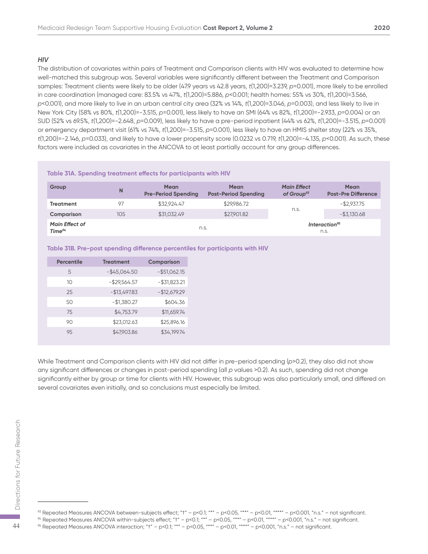#### *HIV*

The distribution of covariates within pairs of Treatment and Comparison clients with HIV was evaluated to determine how well-matched this subgroup was. Several variables were significantly different between the Treatment and Comparison samples: Treatment clients were likely to be older (47.9 years vs 42.8 years, *t*(1,200)=3.239, *p*=0.001), more likely to be enrolled in care coordination (managed care: 83.5% vs 47%, *t*(1,200)=5.886, *p*<0.001; health homes: 55% vs 30%, *t*(1,200)=3.566, *p*<0.001), and more likely to live in an urban central city area (32% vs 14%, *t*(1,200)=3.046, *p*=0.003), and less likely to live in New York City (58% vs 80%, *t*(1,200)=-3.515, *p*=0.001), less likely to have an SMI (64% vs 82%, *t*(1,200)=-2.933, *p*=0.004) or an SUD (52% vs 69.5%, *t*(1,200)=-2.648, *p*=0.009), less likely to have a pre-period inpatient (44% vs 62%, *t*(1,200)=-3.515, *p*=0.001) or emergency department visit (61% vs 74%, *t*(1,200)=-3.515, *p*=0.001), less likely to have an HMIS shelter stay (22% vs 35%, *t*(1,200)=-2.146, *p*=0.033), and likely to have a lower propensity score (0.0232 vs 0.719, *t*(1,200)=-4.135, *p*<0.001). As such, these factors were included as covariates in the ANCOVA to at least partially account for any group differences.

#### **Table 31A. Spending treatment effects for participants with HIV**

| Group                                       | N   | <b>Mean</b><br><b>Pre-Period Spending</b> | Mean<br><b>Post-Period Spending</b> | <b>Main Effect</b><br>of Group <sup>93</sup> | <b>Mean</b><br><b>Post-Pre Difference</b> |
|---------------------------------------------|-----|-------------------------------------------|-------------------------------------|----------------------------------------------|-------------------------------------------|
| <b>Treatment</b>                            | 97  | \$32.924.47                               | \$29,986.72                         |                                              | $-$ \$2.937.75                            |
| Comparison                                  | 105 | \$31,032.49                               | \$27,901.82                         | n.s.                                         | $-$ \$3,130.68                            |
| <b>Main Effect of</b><br>Time <sup>94</sup> |     | n.s.                                      |                                     |                                              | Interaction <sup>95</sup><br>n.s.         |

#### **Table 31B. Pre-post spending difference percentiles for participants with HIV**

| <b>Percentile</b> | <b>Treatment</b> | <b>Comparison</b> |
|-------------------|------------------|-------------------|
| 5                 | $-$ \$45,064.50  | $-$ \$51,062.15   |
| 10                | $-$ \$29,564.57  | $-$ \$31,823.21   |
| 25                | $-$13,497.83$    | $-$12,679.29$     |
| 50                | $-$1,380.27$     | \$604.36          |
| 75                | \$4,753.79       | \$11,659.74       |
| 90                | \$23,012.63      | \$25,896.16       |
| 9.5               | \$47,903.86      | \$34,199.74       |

While Treatment and Comparison clients with HIV did not differ in pre-period spending (*p*>0.2), they also did not show any significant differences or changes in post-period spending (all *p* values >0.2). As such, spending did not change significantly either by group or time for clients with HIV. However, this subgroup was also particularly small, and differed on several covariates even initially, and so conclusions must especially be limited.

<sup>&</sup>lt;sup>93</sup> Repeated Measures ANCOVA between-subjects effect; " $t'' - p < 0.1$ ; "\*" – p<0.05, "\*\*" – p<0.01, "\*\*\*" – p<0.001, "n.s." – not significant.  $\begin{array}{lll} \text{55} & \text{95} & \text{100} & \text{100} & \text{100} & \text{100} & \text{100} & \text{100} & \text{100} \\ \text{96} & \text{100} & \text{100} & \text{100} & \text{100} & \text{100} & \text{100} \\ \text{100} & \text{100} & \text{100} & \text{100} & \text{100} & \text{100} & \text{100} \\ \text{110} & \text{110} & \text{110} & \text{110}$ 

<sup>&</sup>lt;sup>94</sup> Repeated Measures ANCOVA within-subjects effect; "t" – p<0.1; "\*" – p<0.05, "\*\*" – p<0.01, "\*\*\*" – p<0.001, "n.s." – not significant.<br><sup>95</sup> Repeated Measures ANCOVA interaction; "t" – p<0.1; "\*" – p<0.05, "\*\*" – p<0.0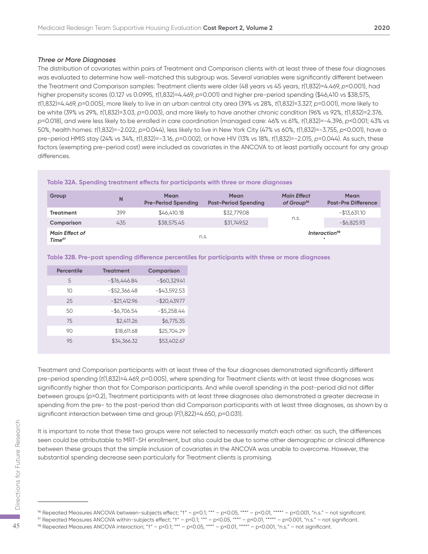#### *Three or More Diagnoses*

The distribution of covariates within pairs of Treatment and Comparison clients with at least three of these four diagnoses was evaluated to determine how well-matched this subgroup was. Several variables were significantly different between the Treatment and Comparison samples: Treatment clients were older (48 years vs 45 years, *t*(1,832)=4.469, *p*<0.001), had higher propensity scores (0.127 vs 0.0995, *t*(1,832)=4.469, *p*=0.001) and higher pre-period spending (\$46,410 vs \$38,575, *t*(1,832)=4.469, *p*=0.005), more likely to live in an urban central city area (39% vs 28%, *t*(1,832)=3.327, *p*=0.001), more likely to be white (39% vs 29%, *t*(1,832)=3.03, *p*=0.003), and more likely to have another chronic condition (96% vs 92%, *t*(1,832)=2.376, *p*=0.018), and were less likely to be enrolled in care coordination (managed care: 46% vs 61%, *t*(1,832)=-4.396, *p*<0.001; 43% vs 50%, health homes: *t*(1,832)=-2.022, *p*=0.044), less likely to live in New York City (47% vs 60%, *t*(1,832)=-3.755, *p*<0.001), have a pre-period HMIS stay (24% vs 34%, *t*(1,832)=-3.16, *p*=0.002), or have HIV (13% vs 18%, *t*(1,832)=-2.015, *p*=0.044). As such, these factors (exempting pre-period cost) were included as covariates in the ANCOVA to at least partially account for any group differences.

#### **Table 32A. Spending treatment effects for participants with three or more diagnoses**

| Group                                       | N   | Mean<br><b>Pre-Period Spending</b> | <b>Mean</b><br><b>Post-Period Spending</b> | <b>Main Effect</b><br>of Group <sup>%</sup> | <b>Mean</b><br><b>Post-Pre Difference</b> |
|---------------------------------------------|-----|------------------------------------|--------------------------------------------|---------------------------------------------|-------------------------------------------|
| Treatment                                   | 399 | \$46,410.18                        | \$32,779.08                                |                                             | $-$13,631.10$                             |
| Comparison                                  | 435 | \$38,575.45                        | \$31,749.52                                | n.s.                                        | $-$ \$6,825.93                            |
| <b>Main Effect of</b><br>Time <sup>97</sup> |     | n.s.                               |                                            |                                             | Interaction <sup>98</sup><br>$\ast$       |

#### **Table 32B. Pre-post spending difference percentiles for participants with three or more diagnoses**

| <b>Percentile</b> | <b>Treatment</b> | <b>Comparison</b> |
|-------------------|------------------|-------------------|
| 5                 | $-$ \$76,446.84  | $-$60,329.41$     |
| 10                | $-$ \$52,366.48  | $-$43,592.53$     |
| 25                | $- $21,412.96$   | $-$20,439.77$     |
| 50                | $-$6,706.54$     | $-$ \$5,258.44    |
| 75                | \$2,411.26       | \$6,775.35        |
| 90                | \$18,611.68      | \$25,704.29       |
| 95                | \$34,366.32      | \$53,402.67       |

Treatment and Comparison participants with at least three of the four diagnoses demonstrated significantly different pre-period spending (*t*(1,832)=4.469, *p*=0.005), where spending for Treatment clients with at least three diagnoses was significantly higher than that for Comparison participants. And while overall spending in the post-period did not differ between groups (*p*>0.2), Treatment participants with at least three diagnoses also demonstrated a greater decrease in spending from the pre- to the post-period than did Comparison participants with at least three diagnoses, as shown by a significant interaction between time and group (*F*(1,822)=4.650, *p*=0.031).

It is important to note that these two groups were not selected to necessarily match each other: as such, the differences seen could be attributable to MRT-SH enrollment, but also could be due to some other demographic or clinical difference between these groups that the simple inclusion of covariates in the ANCOVA was unable to overcome. However, the substantial spending decrease seen particularly for Treatment clients is promising. For this important to note that these two groups were not selected to necessarily match each other: as such<br>seen could be attributable to MRT-SH enrollment, but also could be due to some other demographic or<br>between these

<sup>96</sup> Repeated Measures ANCOVA between-subjects effect; "†" – p<0.1; "\*" – p<0.05, "\*\*" – p<0.01, "\*\*\*" – p<0.001, "n.s." – not significant.

 $\%$  Repeated Measures ANCOVA within-subjects effect; "t" – p<0.1; "\*" – p<0.05, "\*\*" – p<0.01, "\*\*\*" – p<0.001, "n.s." – not significant.<br> $\%$  Repeated Measures ANCOVA interaction; "t" – p<0.1; "\*" – p<0.05, "\*\*" – p<0.0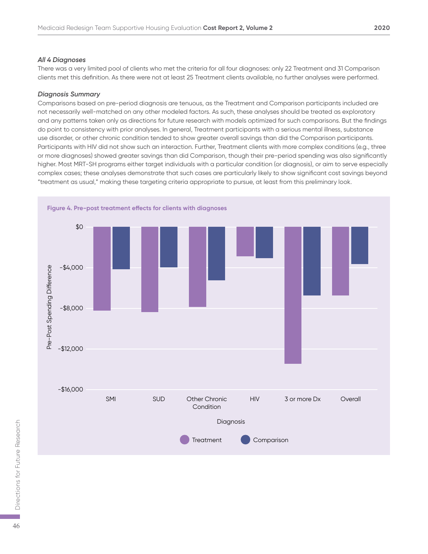#### *All 4 Diagnoses*

There was a very limited pool of clients who met the criteria for all four diagnoses: only 22 Treatment and 31 Comparison clients met this definition. As there were not at least 25 Treatment clients available, no further analyses were performed.

#### *Diagnosis Summary*

Comparisons based on pre-period diagnosis are tenuous, as the Treatment and Comparison participants included are not necessarily well-matched on any other modeled factors. As such, these analyses should be treated as exploratory and any patterns taken only as directions for future research with models optimized for such comparisons. But the findings do point to consistency with prior analyses. In general, Treatment participants with a serious mental illness, substance use disorder, or other chronic condition tended to show greater overall savings than did the Comparison participants. Participants with HIV did not show such an interaction. Further, Treatment clients with more complex conditions (e.g., three or more diagnoses) showed greater savings than did Comparison, though their pre-period spending was also significantly higher. Most MRT-SH programs either target individuals with a particular condition (or diagnosis), or aim to serve especially complex cases; these analyses demonstrate that such cases are particularly likely to show significant cost savings beyond "treatment as usual," making these targeting criteria appropriate to pursue, at least from this preliminary look.

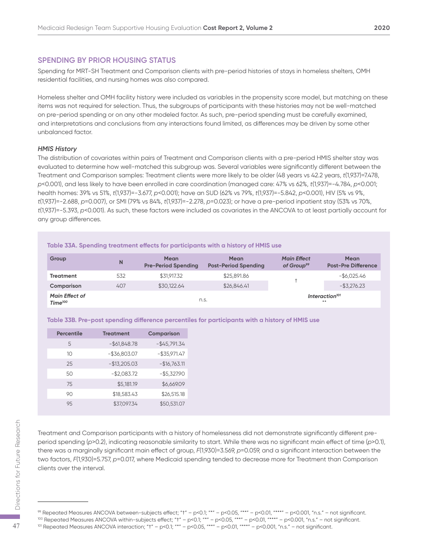#### **SPENDING BY PRIOR HOUSING STATUS**

Spending for MRT-SH Treatment and Comparison clients with pre-period histories of stays in homeless shelters, OMH residential facilities, and nursing homes was also compared.

Homeless shelter and OMH facility history were included as variables in the propensity score model, but matching on these items was not required for selection. Thus, the subgroups of participants with these histories may not be well-matched on pre-period spending or on any other modeled factor. As such, pre-period spending must be carefully examined, and interpretations and conclusions from any interactions found limited, as differences may be driven by some other unbalanced factor.

#### *HMIS History*

The distribution of covariates within pairs of Treatment and Comparison clients with a pre-period HMIS shelter stay was evaluated to determine how well-matched this subgroup was. Several variables were significantly different between the Treatment and Comparison samples: Treatment clients were more likely to be older (48 years vs 42.2 years, *t*(1,937)=7.478, *p*<0.001), and less likely to have been enrolled in care coordination (managed care: 47% vs 62%, *t*(1,937)=-4.784, *p*<0.001; health homes: 39% vs 51%, *t*(1,937)=-3.677, *p*<0.001); have an SUD (62% vs 79%, *t*(1,937)=-5.842, *p*<0.001), HIV (5% vs 9%, *t*(1,937)=-2.688, *p*=0.007), or SMI (79% vs 84%, *t*(1,937)=-2.278, *p*=0.023); or have a pre-period inpatient stay (53% vs 70%, *t*(1,937)=-5.393, *p*<0.001). As such, these factors were included as covariates in the ANCOVA to at least partially account for any group differences.

| Table 33A. Spending treatment effects for participants with a history of HMIS use |     |                                                 |                                     |                                              |                                    |
|-----------------------------------------------------------------------------------|-----|-------------------------------------------------|-------------------------------------|----------------------------------------------|------------------------------------|
| Group                                                                             | N   | <b>Mean</b><br><b>Pre-Period Spending</b>       | Mean<br><b>Post-Period Spending</b> | <b>Main Effect</b><br>of Group <sup>99</sup> | Mean<br><b>Post-Pre Difference</b> |
| Treatment                                                                         | 532 | \$31.917.32                                     | \$25,891.86                         |                                              | $-$ \$6.025.46                     |
| Comparison                                                                        | 407 | \$30,122.64                                     | \$26,846.41                         |                                              | $-$ \$3,276.23                     |
| <b>Main Effect of</b><br>Time <sup>100</sup>                                      |     | Interaction <sup>101</sup><br>n.s.<br>$46 - 46$ |                                     |                                              |                                    |

**Table 33B. Pre-post spending difference percentiles for participants with a history of HMIS use**

| <b>Percentile</b> | <b>Treatment</b> | Comparison      |
|-------------------|------------------|-----------------|
| 5                 | $-$ \$61,848.78  | $-$ \$45,791.34 |
| 10                | $-$ \$36,803.07  | $-$ \$35,971.47 |
| 25                | $-$13,205.03$    | $-$16,763.11$   |
| 50                | $-$2,083.72$     | $-$ \$5,327.90  |
| 75                | \$5,181.19       | \$6,669.09      |
| 90                | \$18,583.43      | \$26,515.18     |
| 95                | \$37,097.34      | \$50,531.07     |

Treatment and Comparison participants with a history of homelessness did not demonstrate significantly different preperiod spending (*p*>0.2), indicating reasonable similarity to start. While there was no significant main effect of time (*p*>0.1), there was a marginally significant main effect of group, *F*(1,930)=3.569, *p*=0.059, and a significant interaction between the two factors, *F*(1,930)=5.757, *p*=0.017, where Medicaid spending tended to decrease more for Treatment than Comparison clients over the interval. Treatment and Comparison participants with a history of homelessness did not demonstrate significant<br>period spending (p>0.2), indicating reasonable similarity to start. While there was no significant main effect<br>there was

<sup>99</sup> Repeated Measures ANCOVA between-subjects effect; "†" – p<0.1; "\*" – p<0.05, "\*\*" – p<0.01, "\*\*\*" – p<0.001, "n.s." – not significant.

<sup>&</sup>lt;sup>100</sup> Repeated Measures ANCOVA within-subjects effect; "t" – p<0.1; "\*" – p<0.05, "\*\*" – p<0.01, "\*\*" – p<0.001, "n.s." – not significant.<br><sup>101</sup> Repeated Measures ANCOVA interaction; "t" – p<0.1; "\*" – p<0.05, "\*\*" – p<0.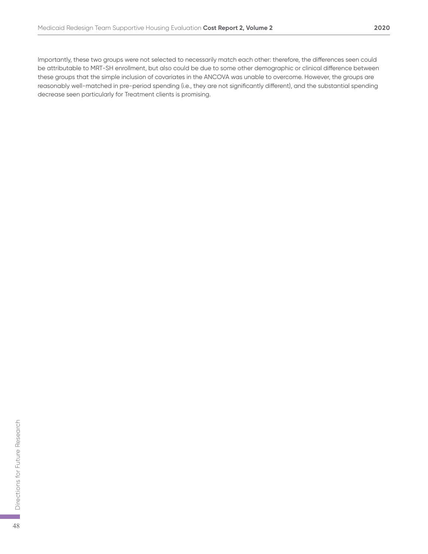Importantly, these two groups were not selected to necessarily match each other: therefore, the differences seen could be attributable to MRT-SH enrollment, but also could be due to some other demographic or clinical difference between these groups that the simple inclusion of covariates in the ANCOVA was unable to overcome. However, the groups are reasonably well-matched in pre-period spending (i.e., they are not significantly different), and the substantial spending decrease seen particularly for Treatment clients is promising.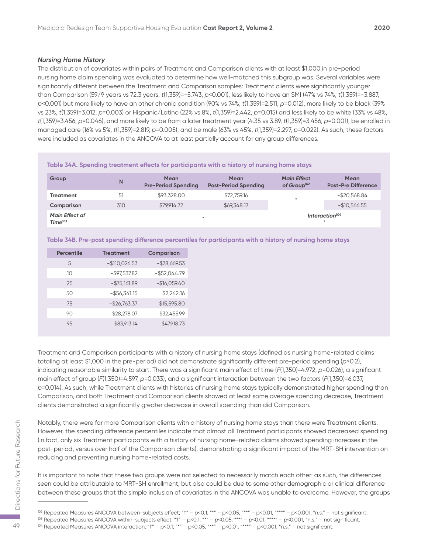#### *Nursing Home History*

The distribution of covariates within pairs of Treatment and Comparison clients with at least \$1,000 in pre-period nursing home claim spending was evaluated to determine how well-matched this subgroup was. Several variables were significantly different between the Treatment and Comparison samples: Treatment clients were significantly younger than Comparison (59/9 years vs 72.3 years, *t*(1,359)=-5.743, *p*<0.001), less likely to have an SMI (47% vs 74%, *t*(1,359)=-3.887, *p*<0.001) but more likely to have an other chronic condition (90% vs 74%, *t*(1,359)=2.511, *p*=0.012), more likely to be black (39% vs 23%, *t*(1,359)=3.012, *p*=0.003) or Hispanic/Latino (22% vs 8%, *t*(1,359)=2.442, *p*=0.015) and less likely to be white (33% vs 48%, *t*(1,359)=3.456, *p*=0.046), and more likely to be from a later treatment year (4.35 vs 3.89, *t*(1,359)=3.456, *p*=0.001), be enrolled in managed care (16% vs 5%, *t*(1,359)=2.819, *p*=0.005), and be male (63% vs 45%, *t*(1,359)=2.297, *p*=0.022). As such, these factors were included as covariates in the ANCOVA to at least partially account for any group differences.

|                                              |     |                                           | Table 34A. Spending treatment effects for participants with a history of nursing home stays |                                               |                                           |
|----------------------------------------------|-----|-------------------------------------------|---------------------------------------------------------------------------------------------|-----------------------------------------------|-------------------------------------------|
| Group                                        | N   | <b>Mean</b><br><b>Pre-Period Spending</b> | Mean<br><b>Post-Period Spending</b>                                                         | <b>Main Effect</b><br>of Group <sup>102</sup> | <b>Mean</b><br><b>Post-Pre Difference</b> |
| <b>Treatment</b>                             | 51  | \$93,328,00                               | \$72,759.16                                                                                 | ÷                                             | $-$ \$20,568.84                           |
| Comparison                                   | 310 | \$79.914.72                               | \$69,348.17                                                                                 |                                               | $-$10,566.55$                             |
| <b>Main Effect of</b><br>Time <sup>103</sup> |     |                                           |                                                                                             |                                               | Interaction <sup>104</sup>                |

#### **Table 34B. Pre-post spending difference percentiles for participants with a history of nursing home stays**

| <b>Percentile</b> | <b>Treatment</b> | <b>Comparison</b> |
|-------------------|------------------|-------------------|
| 5                 | $-$110,026.53$   | $-$78,669.53$     |
| 10                | $-$ \$97,537.82  | $-$ \$52,044.79   |
| 25                | $-$ \$75,161.89  | $-$16,059.40$     |
| 50                | $-$ \$56,341.15  | \$2,242.16        |
| 75                | $-$26,763.37$    | \$15,595.80       |
| 90                | \$28,278.07      | \$32.455.99       |
| 95                | \$83,913.14      | \$47,918.73       |

Treatment and Comparison participants with a history of nursing home stays (defined as nursing home-related claims totaling at least \$1,000 in the pre-period) did not demonstrate significantly different pre-period spending (*p*>0.2), indicating reasonable similarity to start. There was a significant main effect of time (*F*(1,350)=4.972, *p*=0.026), a significant main effect of group (*F*(1,350)=4.597, *p*=0.033), and a significant interaction between the two factors (*F*(1,350)=6.037, *p*=0.014). As such, while Treatment clients with histories of nursing home stays typically demonstrated higher spending than Comparison, and both Treatment and Comparison clients showed at least some average spending decrease, Treatment clients demonstrated a significantly greater decrease in overall spending than did Comparison.

Notably, there were far more Comparison clients with a history of nursing home stays than there were Treatment clients. However, the spending difference percentiles indicate that almost all Treatment participants showed decreased spending (in fact, only six Treatment participants with a history of nursing home-related claims showed spending increases in the post-period, versus over half of the Comparison clients), demonstrating a significant impact of the MRT-SH intervention on reducing and preventing nursing home-related costs. Notably, there were far more Comparison clients with a history of nursing home stays than there were Tre<br>
However, the spending difference percentiles indicate that almost all Treatment participants showed de<br>
(in fact, o

It is important to note that these two groups were not selected to necessarily match each other: as such, the differences seen could be attributable to MRT-SH enrollment, but also could be due to some other demographic or clinical difference between these groups that the simple inclusion of covariates in the ANCOVA was unable to overcome. However, the groups

 $102$  Repeated Measures ANCOVA between-subjects effect; "t" – p<0.1; "\*" – p<0.05, "\*\*" – p<0.01, "\*\*\*" – p<0.001, "n.s." – not significant.

<sup>&</sup>lt;sup>103</sup> Repeated Measures ANCOVA within-subjects effect; "t" – p<0.1; "\*" – p<0.05, "\*\*" – p<0.01, "\*\*" – p<0.001, "n.s." – not significant.<br><sup>104</sup> Repeated Measures ANCOVA interaction; "t" – p<0.1; "\*" – p<0.05, "\*\*" – p<0.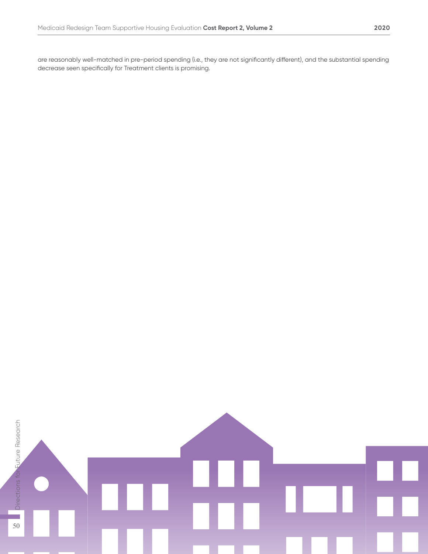are reasonably well-matched in pre-period spending (i.e., they are not significantly different), and the substantial spending decrease seen specifically for Treatment clients is promising.

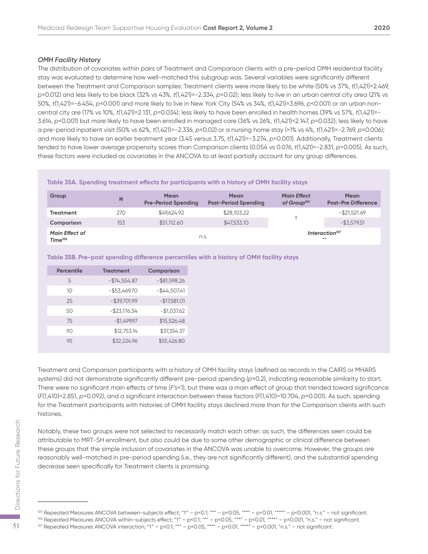#### *OMH Facility History*

The distribution of covariates within pairs of Treatment and Comparison clients with a pre-period OMH residential facility stay was evaluated to determine how well-matched this subgroup was. Several variables were significantly different between the Treatment and Comparison samples: Treatment clients were more likely to be white (50% vs 37%, *t*(1,421)=2.469, *p*=0.012) and less likely to be black (32% vs 43%, *t*(1,421)=-2.334, *p*=0.02); less likely to live in an urban central city area (21% vs 50%, *t*(1,421)=-6.454, *p*<0.001) and more likely to live in New York City (54% vs 34%, *t*(1,421)=3.696, *p*<0.001) or an urban noncentral city are (17% vs 10%, *t*(1,421)=2.131, *p*=0.034); less likely to have been enrolled in health homes (39% vs 57%, *t*(1,421)=- 3.614, *p*<0.001) but more likely to have been enrolled in managed care (36% vs 26%, *t*(1,421)=2.147, *p*=0.032); less likely to have a pre-period inpatient visit (50% vs 62%, *t*(1,421)=-2.336, *p*=0.02) or a nursing home stay (>1% vs 4%, *t*(1,421)=-2.769, *p*=0.006); and more likely to have an earlier treatment year (3.45 versus 3.75, *t*(1,421)=-3.274, *p*=0.001). Additionally, Treatment clients tended to have lower average propensity scores than Comparison clients (0.054 vs 0.076, *t*(1,421)=-2.831, *p*=0.005). As such, these factors were included as covariates in the ANCOVA to at least partially account for any group differences.

|  | Table 35A. Spending treatment effects for participants with a history of OMH facility stays |
|--|---------------------------------------------------------------------------------------------|
|  |                                                                                             |

| Group                                        | N   | <b>Mean</b><br><b>Pre-Period Spending</b> | <b>Mean</b><br><b>Post-Period Spending</b> | <b>Main Effect</b><br>of Group <sup>105</sup> | <b>Mean</b><br><b>Post-Pre Difference</b> |
|----------------------------------------------|-----|-------------------------------------------|--------------------------------------------|-----------------------------------------------|-------------------------------------------|
| <b>Treatment</b>                             | 270 | \$49.624.92                               | \$28,103.22                                |                                               | $-$ \$21,521.69                           |
| Comparison                                   | 153 | \$51,112.60                               | \$47,533.10                                |                                               | $-$ \$3,579.51                            |
| <b>Main Effect of</b><br>Time <sup>106</sup> |     | n.S.                                      |                                            |                                               | Interaction <sup>107</sup><br>$* *$       |

#### **Table 35B. Pre-post spending difference percentiles with a history of OMH facility stays**

| <b>Percentile</b> | <b>Treatment</b> | Comparison      |
|-------------------|------------------|-----------------|
| 5                 | $-$74,554.87$    | $-$ \$81,598.26 |
| 10                | $-$ \$53,469.70  | $-$44,507.41$   |
| 25                | $-$ \$39,701.99  | $-$17,581.01$   |
| 50                | $-$ \$23,176.34  | $-$1,037.62$    |
| 75                | $-$1,499.97$     | \$15,526.48     |
| 90                | \$12,753.14      | \$37,354.37     |
| 95                | \$32.224.96      | \$55,426.80     |

Treatment and Comparison participants with a history of OMH facility stays (defined as records in the CAIRS or MHARS systems) did not demonstrate significantly different pre-period spending (*p*>0.2), indicating reasonable similarity to start. There were no significant main effects of time (*F's<*1), but there was a main effect of group that trended toward significance (*F*(1,410)=2.851, *p*=0.092), and a significant interaction between these factors (*F*(1,410)=10.704, *p*=0.001). As such, spending for the Treatment participants with histories of OMH facility stays declined more than for the Comparison clients with such histories.

Notably, these two groups were not selected to necessarily match each other: as such, the differences seen could be attributable to MRT-SH enrollment, but also could be due to some other demographic or clinical difference between these groups that the simple inclusion of covariates in the ANCOVA was unable to overcome. However, the groups are reasonably well-matched in pre-period spending (i.e., they are not significantly different), and the substantial spending decrease seen specifically for Treatment clients is promising. For Motably, these two groups were not selected to necessarily match each other: as such, the differences and this more distributable to MRT-SH enrollment, but also could be due to some other demographic or clinical diffe

<sup>&</sup>lt;sup>105</sup> Repeated Measures ANCOVA between-subjects effect; "t" – p<0.1; "\*" – p<0.05, "\*\*" – p<0.01, "\*\*\*" – p<0.001, "n.s." – not significant.

<sup>&</sup>lt;sup>106</sup> Repeated Measures ANCOVA within-subjects effect; "t" – p<0.1; "\*" – p<0.05, "\*\*" – p<0.01, "\*\*" – p<0.001, "n.s." – not significant.<br><sup>107</sup> Repeated Measures ANCOVA interaction; "t" – p<0.1; "\*" – p<0.05, "\*\*" – p<0.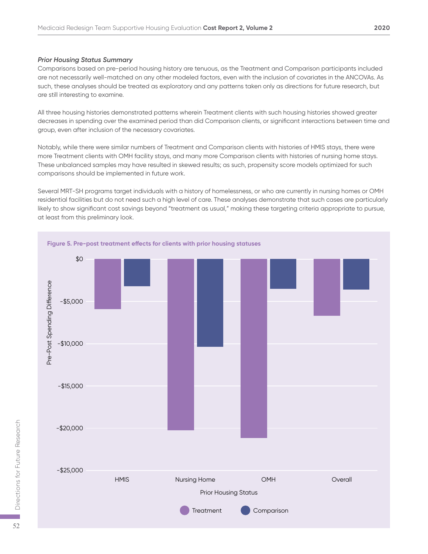#### *Prior Housing Status Summary*

Comparisons based on pre-period housing history are tenuous, as the Treatment and Comparison participants included are not necessarily well-matched on any other modeled factors, even with the inclusion of covariates in the ANCOVAs. As such, these analyses should be treated as exploratory and any patterns taken only as directions for future research, but are still interesting to examine.

All three housing histories demonstrated patterns wherein Treatment clients with such housing histories showed greater decreases in spending over the examined period than did Comparison clients, or significant interactions between time and group, even after inclusion of the necessary covariates.

Notably, while there were similar numbers of Treatment and Comparison clients with histories of HMIS stays, there were more Treatment clients with OMH facility stays, and many more Comparison clients with histories of nursing home stays. These unbalanced samples may have resulted in skewed results; as such, propensity score models optimized for such comparisons should be implemented in future work.

Several MRT-SH programs target individuals with a history of homelessness, or who are currently in nursing homes or OMH residential facilities but do not need such a high level of care. These analyses demonstrate that such cases are particularly likely to show significant cost savings beyond "treatment as usual," making these targeting criteria appropriate to pursue, at least from this preliminary look.

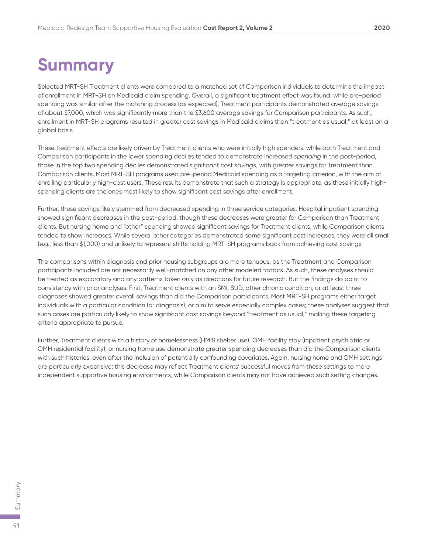### **Summary**

Selected MRT-SH Treatment clients were compared to a matched set of Comparison individuals to determine the impact of enrollment in MRT-SH on Medicaid claim spending. Overall, a significant treatment effect was found: while pre-period spending was similar after the matching process (as expected), Treatment participants demonstrated average savings of about \$7,000, which was significantly more than the \$3,600 average savings for Comparison participants. As such, enrollment in MRT-SH programs resulted in greater cost savings in Medicaid claims than "treatment as usual," at least on a global basis.

These treatment effects are likely driven by Treatment clients who were initially high spenders: while both Treatment and Comparison participants in the lower spending deciles tended to demonstrate increased *spending* in the post-period, those in the top two spending deciles demonstrated significant cost *savings*, with greater savings for Treatment than Comparison clients. Most MRT-SH programs used pre-period Medicaid spending as a targeting criterion, with the aim of enrolling particularly high-cost users. These results demonstrate that such a strategy is appropriate, as these initially highspending clients are the ones most likely to show significant cost savings after enrollment.

Further, these savings likely stemmed from decreased spending in three service categories. Hospital inpatient spending showed significant decreases in the post-period, though these decreases were greater for Comparison than Treatment clients. But nursing home and "other" spending showed significant savings for Treatment clients, while Comparison clients tended to show increases. While several other categories demonstrated some significant cost increases, they were all small (e.g., less than \$1,000) and unlikely to represent shifts holding MRT-SH programs back from achieving cost savings.

The comparisons within diagnosis and prior housing subgroups are more tenuous, as the Treatment and Comparison participants included are not necessarily well-matched on any other modeled factors. As such, these analyses should be treated as exploratory and any patterns taken only as directions for future research. But the findings do point to consistency with prior analyses. First, Treatment clients with an SMI, SUD, other chronic condition, or at least three diagnoses showed greater overall savings than did the Comparison participants. Most MRT-SH programs either target individuals with a particular condition (or diagnosis), or aim to serve especially complex cases; these analyses suggest that such cases are particularly likely to show significant cost savings beyond "treatment as usual," making these targeting criteria appropriate to pursue.

Further, Treatment clients with a history of homelessness (HMIS shelter use), OMH facility stay (inpatient psychiatric or OMH residential facility), or nursing home use demonstrate greater spending decreases than did the Comparison clients with such histories, even after the inclusion of potentially confounding covariates. Again, nursing home and OMH settings are particularly expensive; this decrease may reflect Treatment clients' successful moves from these settings to more independent supportive housing environments, while Comparison clients may not have achieved such setting changes.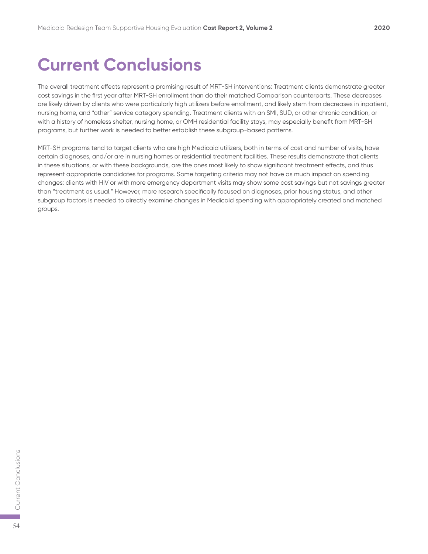### **Current Conclusions**

The overall treatment effects represent a promising result of MRT-SH interventions: Treatment clients demonstrate greater cost savings in the first year after MRT-SH enrollment than do their matched Comparison counterparts. These decreases are likely driven by clients who were particularly high utilizers before enrollment, and likely stem from decreases in inpatient, nursing home, and "other" service category spending. Treatment clients with an SMI, SUD, or other chronic condition, or with a history of homeless shelter, nursing home, or OMH residential facility stays, may especially benefit from MRT-SH programs, but further work is needed to better establish these subgroup-based patterns.

MRT-SH programs tend to target clients who are high Medicaid utilizers, both in terms of cost and number of visits, have certain diagnoses, and/or are in nursing homes or residential treatment facilities. These results demonstrate that clients in these situations, or with these backgrounds, are the ones most likely to show significant treatment effects, and thus represent appropriate candidates for programs. Some targeting criteria may not have as much impact on spending changes: clients with HIV or with more emergency department visits may show some cost savings but not savings greater than "treatment as usual." However, more research specifically focused on diagnoses, prior housing status, and other subgroup factors is needed to directly examine changes in Medicaid spending with appropriately created and matched groups.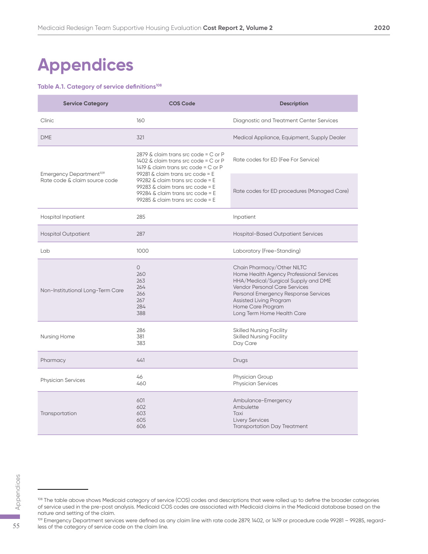### **Appendices**

#### Table A.1. Category of service definitions<sup>108</sup>

| <b>Service Category</b>             | <b>COS Code</b>                                                                                                                                                | <b>Description</b>                                                                                                                                                                                                                                                   |
|-------------------------------------|----------------------------------------------------------------------------------------------------------------------------------------------------------------|----------------------------------------------------------------------------------------------------------------------------------------------------------------------------------------------------------------------------------------------------------------------|
| Clinic                              | 160                                                                                                                                                            | Diagnostic and Treatment Center Services                                                                                                                                                                                                                             |
| <b>DME</b>                          | 321                                                                                                                                                            | Medical Appliance, Equipment, Supply Dealer                                                                                                                                                                                                                          |
| Emergency Department <sup>109</sup> | 2879 & claim trans src code = $C$ or P<br>1402 & claim trans src code = C or P<br>1419 & claim trans src code = $C$ or $P$<br>99281 & claim trans src code = E | Rate codes for ED (Fee For Service)                                                                                                                                                                                                                                  |
| Rate code & claim source code       | 99282 & claim trans src code = E<br>99283 & claim trans src code = E<br>99284 & claim trans src code = E<br>99285 & claim trans src code = E                   | Rate codes for ED procedures (Managed Care)                                                                                                                                                                                                                          |
| <b>Hospital Inpatient</b>           | 285                                                                                                                                                            | Inpatient                                                                                                                                                                                                                                                            |
| <b>Hospital Outpatient</b>          | 287                                                                                                                                                            | Hospital-Based Outpatient Services                                                                                                                                                                                                                                   |
| Lab                                 | 1000                                                                                                                                                           | Laboratory (Free-Standing)                                                                                                                                                                                                                                           |
| Non-Institutional Long-Term Care    | $\circ$<br>260<br>263<br>264<br>266<br>267<br>284<br>388                                                                                                       | Chain Pharmacy/Other NILTC<br>Home Health Agency Professional Services<br>HHA/Medical/Surgical Supply and DME<br>Vendor Personal Care Services<br>Personal Emergency Response Services<br>Assisted Living Program<br>Home Care Program<br>Long Term Home Health Care |
| Nursing Home                        | 286<br>381<br>383                                                                                                                                              | <b>Skilled Nursing Facility</b><br><b>Skilled Nursing Facility</b><br>Day Care                                                                                                                                                                                       |
| Pharmacy                            | 441                                                                                                                                                            | Drugs                                                                                                                                                                                                                                                                |
| <b>Physician Services</b>           | 46<br>460                                                                                                                                                      | Physician Group<br><b>Physician Services</b>                                                                                                                                                                                                                         |
| Transportation                      | 601<br>602<br>603<br>605<br>606                                                                                                                                | Ambulance-Emergency<br>Ambulette<br>Taxi<br><b>Livery Services</b><br><b>Transportation Day Treatment</b>                                                                                                                                                            |

<sup>108</sup> The table above shows Medicaid category of service (COS) codes and descriptions that were rolled up to define the broader categories of service used in the pre-post analysis. Medicaid COS codes are associated with Medicaid claims in the Medicaid database based on the nature and setting of the claim.  $\frac{55}{4}$ <br>  $\frac{55}{4}$ <br>  $\frac{108}{4}$  The table above shows Medicaid category of service of service used in the pre-post analysis. Medicaid CC<br>
nature and setting of the claim.<br>  $\frac{109}{4}$  Emergency Department services wer

<sup>109</sup> Emergency Department services were defined as any claim line with rate code 2879, 1402, or 1419 or procedure code 99281 - 99285, regard-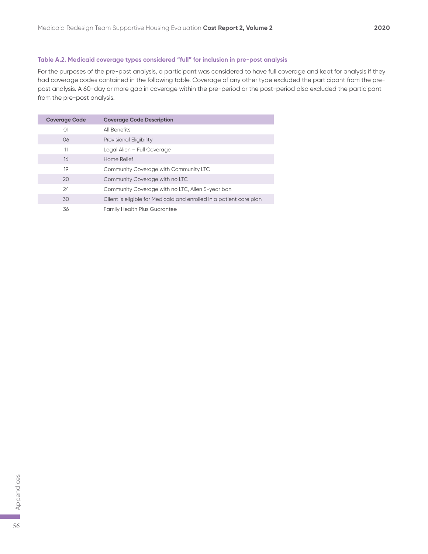#### **Table A.2. Medicaid coverage types considered "full" for inclusion in pre-post analysis**

For the purposes of the pre-post analysis, a participant was considered to have full coverage and kept for analysis if they had coverage codes contained in the following table. Coverage of any other type excluded the participant from the prepost analysis. A 60-day or more gap in coverage within the pre-period or the post-period also excluded the participant from the pre-post analysis.

| <b>Coverage Code</b> | <b>Coverage Code Description</b>                                    |
|----------------------|---------------------------------------------------------------------|
| O <sub>1</sub>       | All Benefits                                                        |
| 06                   | <b>Provisional Eligibility</b>                                      |
| 11                   | Legal Alien - Full Coverage                                         |
| 16                   | Home Relief                                                         |
| 19                   | Community Coverage with Community LTC                               |
| 20                   | Community Coverage with no LTC                                      |
| 24                   | Community Coverage with no LTC, Alien 5-year ban                    |
| 30                   | Client is eligible for Medicaid and enrolled in a patient care plan |
| 36                   | <b>Family Health Plus Guarantee</b>                                 |